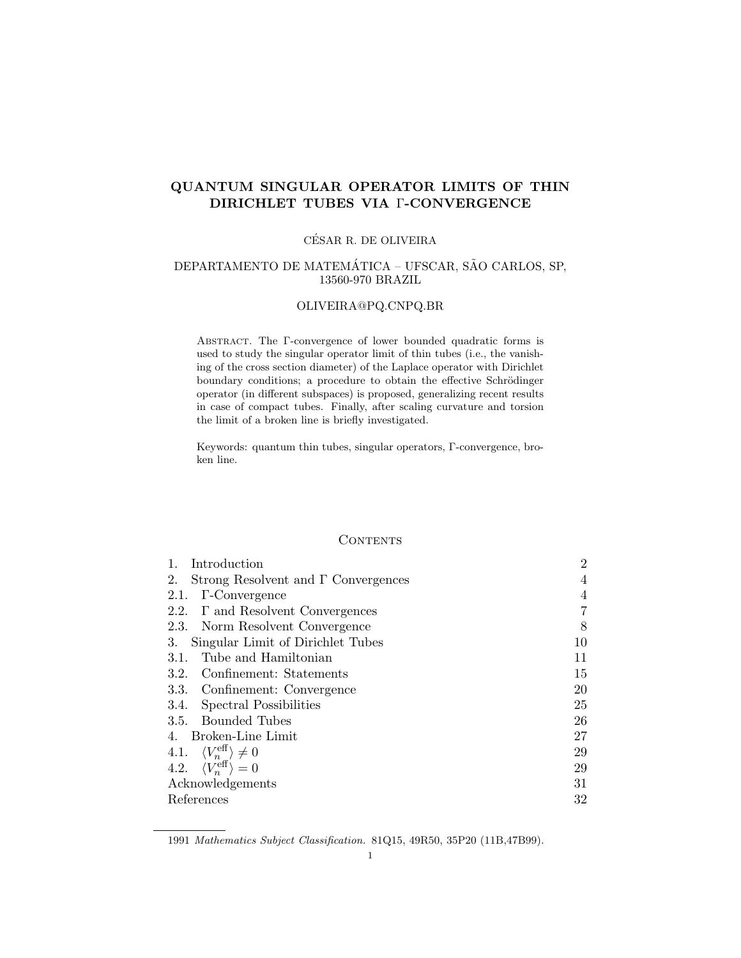# QUANTUM SINGULAR OPERATOR LIMITS OF THIN DIRICHLET TUBES VIA Γ-CONVERGENCE

# CESAR R. DE OLIVEIRA ´

# DEPARTAMENTO DE MATEMÁTICA - UFSCAR, SÃO CARLOS, SP, 13560-970 BRAZIL

## OLIVEIRA@PQ.CNPQ.BR

Abstract. The Γ-convergence of lower bounded quadratic forms is used to study the singular operator limit of thin tubes (i.e., the vanishing of the cross section diameter) of the Laplace operator with Dirichlet boundary conditions; a procedure to obtain the effective Schrödinger operator (in different subspaces) is proposed, generalizing recent results in case of compact tubes. Finally, after scaling curvature and torsion the limit of a broken line is briefly investigated.

Keywords: quantum thin tubes, singular operators, Γ-convergence, broken line.

### **CONTENTS**

| Introduction                                     | $\overline{2}$ |
|--------------------------------------------------|----------------|
| 2.<br>Strong Resolvent and $\Gamma$ Convergences | 4              |
| <b>T</b> -Convergence<br>2.1.                    | $\overline{4}$ |
| 2.2. $\Gamma$ and Resolvent Convergences         | 7              |
| 2.3. Norm Resolvent Convergence                  | 8              |
| Singular Limit of Dirichlet Tubes<br>3.          | 10             |
| Tube and Hamiltonian<br>3.1.                     | 11             |
| 3.2. Confinement: Statements                     | 15             |
| 3.3. Confinement: Convergence                    | 20             |
| 3.4. Spectral Possibilities                      | 25             |
| 3.5. Bounded Tubes                               | 26             |
| 4. Broken-Line Limit                             | 27             |
| 4.1. $\langle V_n^{\text{eff}} \rangle \neq 0$   | 29             |
| 4.2. $\langle V_n^{\text{eff}} \rangle = 0$      | 29             |
| Acknowledgements                                 | 31             |
| References                                       | 32             |

<sup>1991</sup> Mathematics Subject Classification. 81Q15, 49R50, 35P20 (11B,47B99).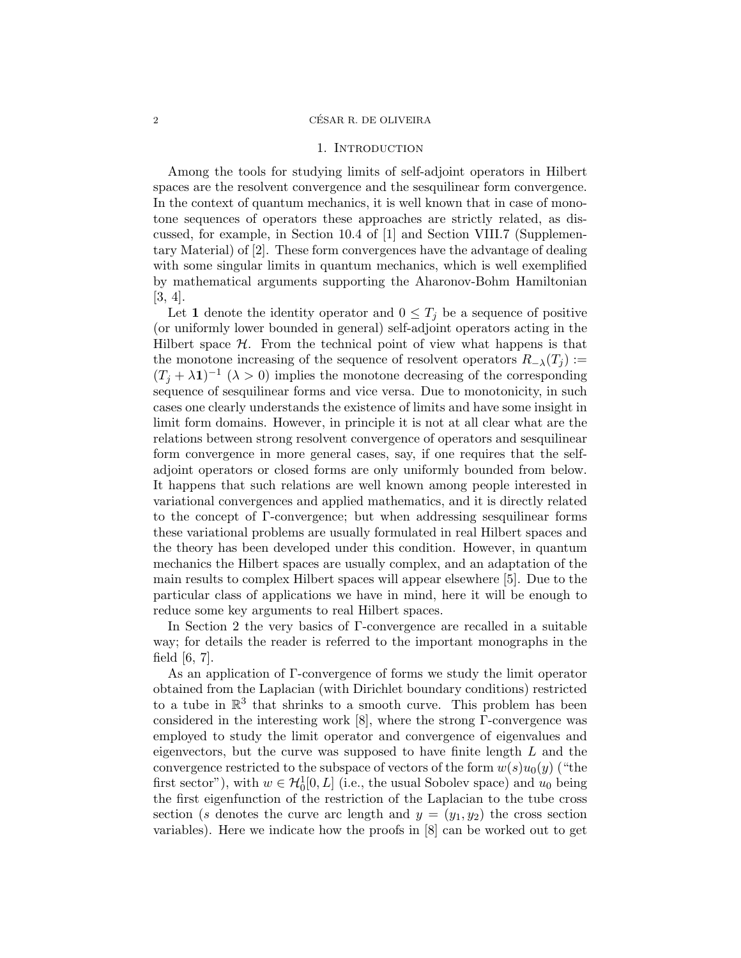#### 2 CESAR R. DE OLIVEIRA ´

#### 1. INTRODUCTION

Among the tools for studying limits of self-adjoint operators in Hilbert spaces are the resolvent convergence and the sesquilinear form convergence. In the context of quantum mechanics, it is well known that in case of monotone sequences of operators these approaches are strictly related, as discussed, for example, in Section 10.4 of [1] and Section VIII.7 (Supplementary Material) of [2]. These form convergences have the advantage of dealing with some singular limits in quantum mechanics, which is well exemplified by mathematical arguments supporting the Aharonov-Bohm Hamiltonian [3, 4].

Let 1 denote the identity operator and  $0 \leq T_j$  be a sequence of positive (or uniformly lower bounded in general) self-adjoint operators acting in the Hilbert space  $H$ . From the technical point of view what happens is that the monotone increasing of the sequence of resolvent operators  $R_{-\lambda}(T_i) :=$  $(T_j + \lambda \mathbf{1})^{-1}$   $(\lambda > 0)$  implies the monotone decreasing of the corresponding sequence of sesquilinear forms and vice versa. Due to monotonicity, in such cases one clearly understands the existence of limits and have some insight in limit form domains. However, in principle it is not at all clear what are the relations between strong resolvent convergence of operators and sesquilinear form convergence in more general cases, say, if one requires that the selfadjoint operators or closed forms are only uniformly bounded from below. It happens that such relations are well known among people interested in variational convergences and applied mathematics, and it is directly related to the concept of Γ-convergence; but when addressing sesquilinear forms these variational problems are usually formulated in real Hilbert spaces and the theory has been developed under this condition. However, in quantum mechanics the Hilbert spaces are usually complex, and an adaptation of the main results to complex Hilbert spaces will appear elsewhere [5]. Due to the particular class of applications we have in mind, here it will be enough to reduce some key arguments to real Hilbert spaces.

In Section 2 the very basics of Γ-convergence are recalled in a suitable way; for details the reader is referred to the important monographs in the field  $[6, 7]$ .

As an application of Γ-convergence of forms we study the limit operator obtained from the Laplacian (with Dirichlet boundary conditions) restricted to a tube in  $\mathbb{R}^3$  that shrinks to a smooth curve. This problem has been considered in the interesting work [8], where the strong Γ-convergence was employed to study the limit operator and convergence of eigenvalues and eigenvectors, but the curve was supposed to have finite length L and the convergence restricted to the subspace of vectors of the form  $w(s)u_0(y)$  ("the first sector"), with  $w \in H_0^1[0, L]$  (i.e., the usual Sobolev space) and  $u_0$  being the first eigenfunction of the restriction of the Laplacian to the tube cross section (s denotes the curve arc length and  $y = (y_1, y_2)$  the cross section variables). Here we indicate how the proofs in [8] can be worked out to get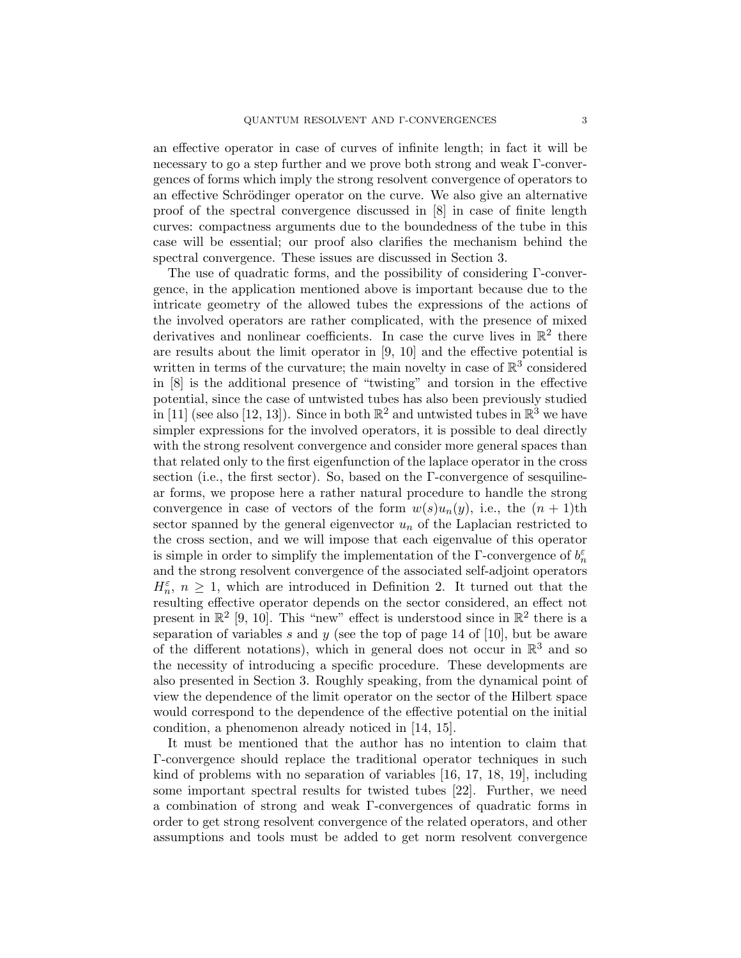an effective operator in case of curves of infinite length; in fact it will be necessary to go a step further and we prove both strong and weak Γ-convergences of forms which imply the strong resolvent convergence of operators to an effective Schrödinger operator on the curve. We also give an alternative proof of the spectral convergence discussed in [8] in case of finite length curves: compactness arguments due to the boundedness of the tube in this case will be essential; our proof also clarifies the mechanism behind the spectral convergence. These issues are discussed in Section 3.

The use of quadratic forms, and the possibility of considering Γ-convergence, in the application mentioned above is important because due to the intricate geometry of the allowed tubes the expressions of the actions of the involved operators are rather complicated, with the presence of mixed derivatives and nonlinear coefficients. In case the curve lives in  $\mathbb{R}^2$  there are results about the limit operator in [9, 10] and the effective potential is written in terms of the curvature; the main novelty in case of  $\mathbb{R}^3$  considered in [8] is the additional presence of "twisting" and torsion in the effective potential, since the case of untwisted tubes has also been previously studied in [11] (see also [12, 13]). Since in both  $\mathbb{R}^2$  and untwisted tubes in  $\mathbb{R}^3$  we have simpler expressions for the involved operators, it is possible to deal directly with the strong resolvent convergence and consider more general spaces than that related only to the first eigenfunction of the laplace operator in the cross section (i.e., the first sector). So, based on the Γ-convergence of sesquilinear forms, we propose here a rather natural procedure to handle the strong convergence in case of vectors of the form  $w(s)u_n(y)$ , i.e., the  $(n + 1)$ th sector spanned by the general eigenvector  $u_n$  of the Laplacian restricted to the cross section, and we will impose that each eigenvalue of this operator is simple in order to simplify the implementation of the  $\Gamma$ -convergence of  $b_n^{\varepsilon}$ and the strong resolvent convergence of the associated self-adjoint operators  $H_n^{\varepsilon}$ ,  $n \geq 1$ , which are introduced in Definition 2. It turned out that the resulting effective operator depends on the sector considered, an effect not present in  $\mathbb{R}^2$  [9, 10]. This "new" effect is understood since in  $\mathbb{R}^2$  there is a separation of variables s and y (see the top of page 14 of [10], but be aware of the different notations), which in general does not occur in  $\mathbb{R}^3$  and so the necessity of introducing a specific procedure. These developments are also presented in Section 3. Roughly speaking, from the dynamical point of view the dependence of the limit operator on the sector of the Hilbert space would correspond to the dependence of the effective potential on the initial condition, a phenomenon already noticed in [14, 15].

It must be mentioned that the author has no intention to claim that Γ-convergence should replace the traditional operator techniques in such kind of problems with no separation of variables [16, 17, 18, 19], including some important spectral results for twisted tubes [22]. Further, we need a combination of strong and weak Γ-convergences of quadratic forms in order to get strong resolvent convergence of the related operators, and other assumptions and tools must be added to get norm resolvent convergence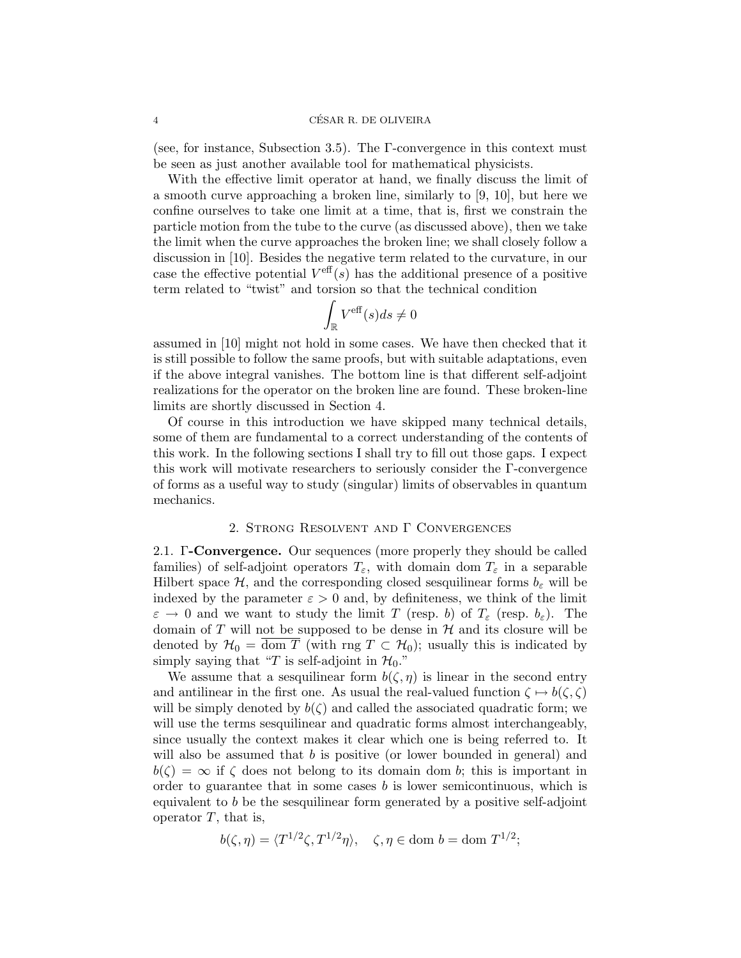#### 4 CESAR R. DE OLIVEIRA ´

(see, for instance, Subsection 3.5). The  $\Gamma$ -convergence in this context must be seen as just another available tool for mathematical physicists.

With the effective limit operator at hand, we finally discuss the limit of a smooth curve approaching a broken line, similarly to [9, 10], but here we confine ourselves to take one limit at a time, that is, first we constrain the particle motion from the tube to the curve (as discussed above), then we take the limit when the curve approaches the broken line; we shall closely follow a discussion in [10]. Besides the negative term related to the curvature, in our case the effective potential  $V^{\text{eff}}(s)$  has the additional presence of a positive term related to "twist" and torsion so that the technical condition

$$
\int_{\mathbb{R}} V^{\text{eff}}(s) ds \neq 0
$$

assumed in [10] might not hold in some cases. We have then checked that it is still possible to follow the same proofs, but with suitable adaptations, even if the above integral vanishes. The bottom line is that different self-adjoint realizations for the operator on the broken line are found. These broken-line limits are shortly discussed in Section 4.

Of course in this introduction we have skipped many technical details, some of them are fundamental to a correct understanding of the contents of this work. In the following sections I shall try to fill out those gaps. I expect this work will motivate researchers to seriously consider the Γ-convergence of forms as a useful way to study (singular) limits of observables in quantum mechanics.

### 2. Strong Resolvent and Γ Convergences

2.1. Γ-Convergence. Our sequences (more properly they should be called families) of self-adjoint operators  $T_{\varepsilon}$ , with domain dom  $T_{\varepsilon}$  in a separable Hilbert space  $\mathcal{H}$ , and the corresponding closed sesquilinear forms  $b_{\varepsilon}$  will be indexed by the parameter  $\varepsilon > 0$  and, by definiteness, we think of the limit  $\varepsilon \to 0$  and we want to study the limit T (resp. b) of  $T_{\varepsilon}$  (resp.  $b_{\varepsilon}$ ). The domain of T will not be supposed to be dense in  $H$  and its closure will be denoted by  $\mathcal{H}_0 = \overline{\text{dom }T}$  (with rng  $T \subset \mathcal{H}_0$ ); usually this is indicated by simply saying that "T is self-adjoint in  $\mathcal{H}_0$ ."

We assume that a sesquilinear form  $b(\zeta, \eta)$  is linear in the second entry and antilinear in the first one. As usual the real-valued function  $\zeta \mapsto b(\zeta, \zeta)$ will be simply denoted by  $b(\zeta)$  and called the associated quadratic form; we will use the terms sesquilinear and quadratic forms almost interchangeably, since usually the context makes it clear which one is being referred to. It will also be assumed that  $b$  is positive (or lower bounded in general) and  $b(\zeta) = \infty$  if  $\zeta$  does not belong to its domain dom b; this is important in order to guarantee that in some cases  $b$  is lower semicontinuous, which is equivalent to b be the sesquilinear form generated by a positive self-adjoint operator  $T$ , that is,

$$
b(\zeta, \eta) = \langle T^{1/2}\zeta, T^{1/2}\eta \rangle, \quad \zeta, \eta \in \text{dom } b = \text{dom } T^{1/2};
$$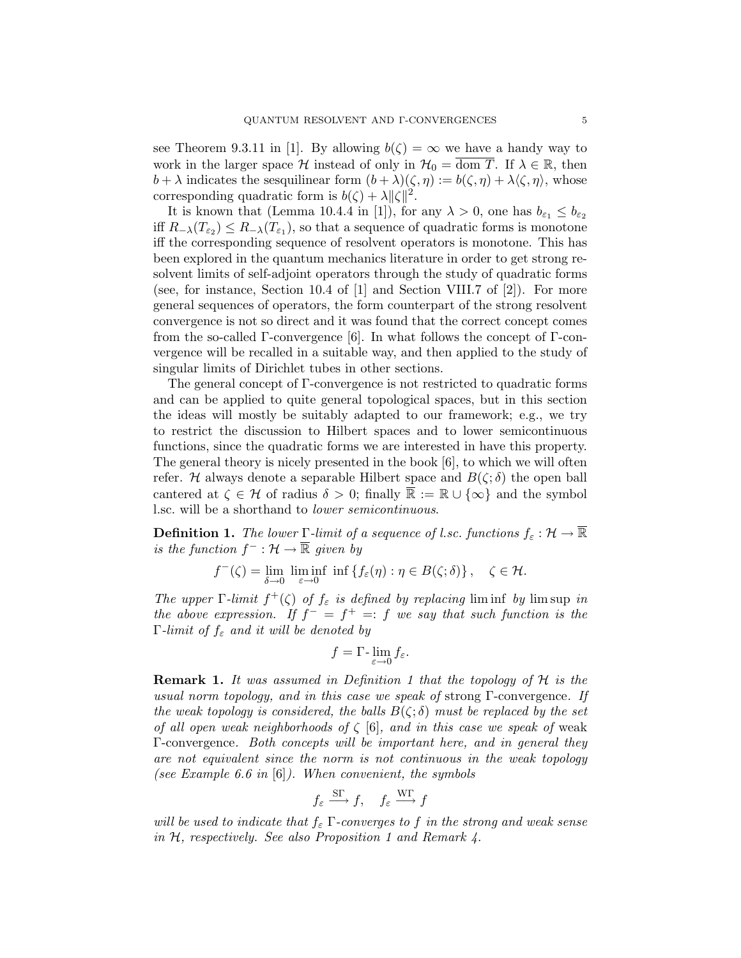see Theorem 9.3.11 in [1]. By allowing  $b(\zeta) = \infty$  we have a handy way to work in the larger space H instead of only in  $\mathcal{H}_0 = \overline{\text{dom } T}$ . If  $\lambda \in \mathbb{R}$ , then  $b + \lambda$  indicates the sesquilinear form  $(b + \lambda)(\zeta, \eta) := b(\zeta, \eta) + \lambda(\zeta, \eta)$ , whose corresponding quadratic form is  $b(\zeta) + \lambda ||\zeta||^2$ .

It is known that (Lemma 10.4.4 in [1]), for any  $\lambda > 0$ , one has  $b_{\varepsilon_1} \leq b_{\varepsilon_2}$ iff  $R_{-\lambda}(T_{\varepsilon_2}) \leq R_{-\lambda}(T_{\varepsilon_1})$ , so that a sequence of quadratic forms is monotone iff the corresponding sequence of resolvent operators is monotone. This has been explored in the quantum mechanics literature in order to get strong resolvent limits of self-adjoint operators through the study of quadratic forms (see, for instance, Section 10.4 of  $|1|$  and Section VIII.7 of  $|2|$ ). For more general sequences of operators, the form counterpart of the strong resolvent convergence is not so direct and it was found that the correct concept comes from the so-called  $\Gamma$ -convergence [6]. In what follows the concept of  $\Gamma$ -convergence will be recalled in a suitable way, and then applied to the study of singular limits of Dirichlet tubes in other sections.

The general concept of Γ-convergence is not restricted to quadratic forms and can be applied to quite general topological spaces, but in this section the ideas will mostly be suitably adapted to our framework; e.g., we try to restrict the discussion to Hilbert spaces and to lower semicontinuous functions, since the quadratic forms we are interested in have this property. The general theory is nicely presented in the book [6], to which we will often refer. H always denote a separable Hilbert space and  $B(\zeta;\delta)$  the open ball cantered at  $\zeta \in \mathcal{H}$  of radius  $\delta > 0$ ; finally  $\overline{\mathbb{R}} := \mathbb{R} \cup {\infty}$  and the symbol l.sc. will be a shorthand to lower semicontinuous.

**Definition 1.** The lower Γ-limit of a sequence of l.sc. functions  $f_{\varepsilon}: \mathcal{H} \to \mathbb{R}$ is the function  $f^- : \mathcal{H} \to \overline{\mathbb{R}}$  given by

 $f^-(\zeta) = \lim_{\delta \to 0} \liminf_{\varepsilon \to 0} \inf \{ f_\varepsilon(\eta) : \eta \in B(\zeta; \delta) \}, \quad \zeta \in \mathcal{H}.$ 

The upper  $\Gamma$ -limit  $f^+(\zeta)$  of  $f_{\varepsilon}$  is defined by replacing liming by lim sup in the above expression. If  $f^- = f^+ =: f$  we say that such function is the Γ-limit of  $f_{\varepsilon}$  and it will be denoted by

$$
f = \Gamma \cdot \lim_{\varepsilon \to 0} f_{\varepsilon}.
$$

**Remark 1.** It was assumed in Definition 1 that the topology of  $H$  is the usual norm topology, and in this case we speak of strong  $\Gamma$ -convergence. If the weak topology is considered, the balls  $B(\zeta;\delta)$  must be replaced by the set of all open weak neighborhoods of  $\zeta$  [6], and in this case we speak of weak Γ-convergence. Both concepts will be important here, and in general they are not equivalent since the norm is not continuous in the weak topology (see Example 6.6 in  $[6]$ ). When convenient, the symbols

$$
f_{\varepsilon} \xrightarrow{\text{ST}} f
$$
,  $f_{\varepsilon} \xrightarrow{\text{WT}} f$ 

will be used to indicate that  $f_{\varepsilon}$   $\Gamma$ -converges to f in the strong and weak sense in H, respectively. See also Proposition 1 and Remark 4.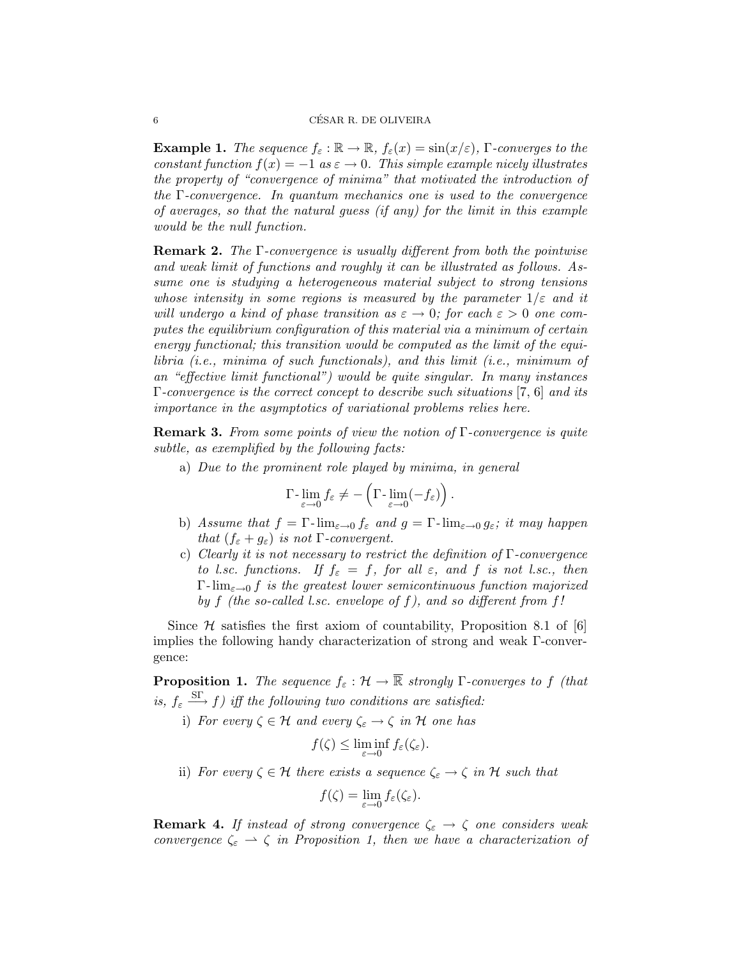**Example 1.** The sequence  $f_{\varepsilon} : \mathbb{R} \to \mathbb{R}$ ,  $f_{\varepsilon}(x) = \sin(x/\varepsilon)$ , Γ-converges to the constant function  $f(x) = -1$  as  $\varepsilon \to 0$ . This simple example nicely illustrates the property of "convergence of minima" that motivated the introduction of the  $\Gamma$ -convergence. In quantum mechanics one is used to the convergence of averages, so that the natural guess (if any) for the limit in this example would be the null function.

Remark 2. The Γ-convergence is usually different from both the pointwise and weak limit of functions and roughly it can be illustrated as follows. Assume one is studying a heterogeneous material subject to strong tensions whose intensity in some regions is measured by the parameter  $1/\varepsilon$  and it will undergo a kind of phase transition as  $\varepsilon \to 0$ ; for each  $\varepsilon > 0$  one computes the equilibrium configuration of this material via a minimum of certain energy functional; this transition would be computed as the limit of the equilibria (i.e., minima of such functionals), and this limit (i.e., minimum of an "effective limit functional") would be quite singular. In many instances  $\Gamma$ -convergence is the correct concept to describe such situations [7, 6] and its importance in the asymptotics of variational problems relies here.

**Remark 3.** From some points of view the notion of  $\Gamma$ -convergence is quite subtle, as exemplified by the following facts:

a) Due to the prominent role played by minima, in general

$$
\Gamma\text{-}\lim_{\varepsilon\to 0} f_{\varepsilon}\neq -\left(\Gamma\text{-}\lim_{\varepsilon\to 0}(-f_{\varepsilon})\right).
$$

- b) Assume that  $f = \Gamma$ - $\lim_{\varepsilon \to 0} f_{\varepsilon}$  and  $g = \Gamma$ - $\lim_{\varepsilon \to 0} g_{\varepsilon}$ ; it may happen that  $(f_{\varepsilon} + g_{\varepsilon})$  is not  $\Gamma$ -convergent.
- c) Clearly it is not necessary to restrict the definition of  $\Gamma$ -convergence to l.sc. functions. If  $f_{\varepsilon} = f$ , for all  $\varepsilon$ , and f is not l.sc., then  $\Gamma$ -lim<sub> $\varepsilon\rightarrow 0$ </sub> f is the greatest lower semicontinuous function majorized by f (the so-called l.sc. envelope of f), and so different from f!

Since  $H$  satisfies the first axiom of countability, Proposition 8.1 of [6] implies the following handy characterization of strong and weak Γ-convergence:

**Proposition 1.** The sequence  $f_{\varepsilon}: \mathcal{H} \to \overline{\mathbb{R}}$  strongly  $\Gamma$ -converges to f (that is,  $f_{\varepsilon} \stackrel{\text{ST}}{\longrightarrow} f$ ) iff the following two conditions are satisfied:

i) For every  $\zeta \in \mathcal{H}$  and every  $\zeta_{\varepsilon} \to \zeta$  in  $\mathcal{H}$  one has

$$
f(\zeta) \leq \liminf_{\varepsilon \to 0} f_{\varepsilon}(\zeta_{\varepsilon}).
$$

ii) For every  $\zeta \in \mathcal{H}$  there exists a sequence  $\zeta_{\varepsilon} \to \zeta$  in H such that

$$
f(\zeta) = \lim_{\varepsilon \to 0} f_{\varepsilon}(\zeta_{\varepsilon}).
$$

**Remark 4.** If instead of strong convergence  $\zeta_{\varepsilon} \to \zeta$  one considers weak convergence  $\zeta_{\varepsilon} \rightharpoonup \zeta$  in Proposition 1, then we have a characterization of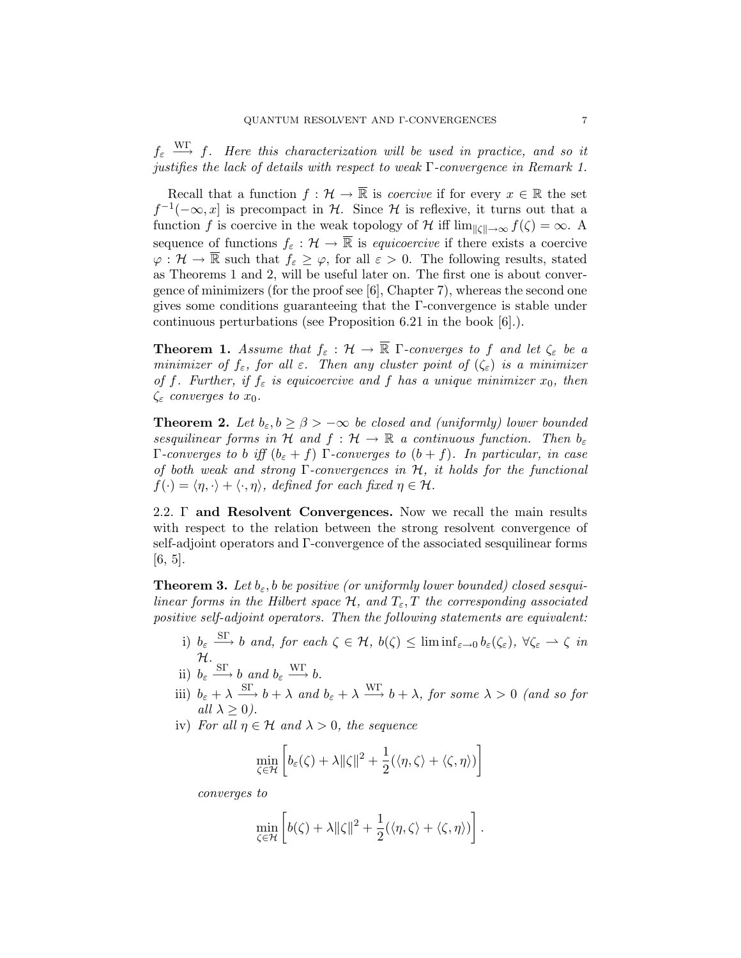$f_{\varepsilon} \stackrel{\text{WT}}{\longrightarrow} f$ . Here this characterization will be used in practice, and so it justifies the lack of details with respect to weak Γ-convergence in Remark 1.

Recall that a function  $f: \mathcal{H} \to \overline{\mathbb{R}}$  is *coercive* if for every  $x \in \mathbb{R}$  the set  $f^{-1}(-\infty, x]$  is precompact in H. Since H is reflexive, it turns out that a function f is coercive in the weak topology of H iff  $\lim_{||\zeta|| \to \infty} f(\zeta) = \infty$ . A sequence of functions  $f_{\varepsilon}: \mathcal{H} \to \overline{\mathbb{R}}$  is *equicoercive* if there exists a coercive  $\varphi: \mathcal{H} \to \overline{\mathbb{R}}$  such that  $f_{\varepsilon} \geq \varphi$ , for all  $\varepsilon > 0$ . The following results, stated as Theorems 1 and 2, will be useful later on. The first one is about convergence of minimizers (for the proof see [6], Chapter 7), whereas the second one gives some conditions guaranteeing that the Γ-convergence is stable under continuous perturbations (see Proposition 6.21 in the book [6].).

**Theorem 1.** Assume that  $f_{\varepsilon}: \mathcal{H} \to \overline{\mathbb{R}}$  Γ-converges to f and let  $\zeta_{\varepsilon}$  be a minimizer of  $f_{\varepsilon}$ , for all  $\varepsilon$ . Then any cluster point of  $(\zeta_{\varepsilon})$  is a minimizer of f. Further, if  $f_{\varepsilon}$  is equicoercive and f has a unique minimizer  $x_0$ , then  $\zeta_{\varepsilon}$  converges to  $x_0$ .

**Theorem 2.** Let  $b_{\varepsilon}, b \geq \beta > -\infty$  be closed and (uniformly) lower bounded sesquilinear forms in H and  $f : \mathcal{H} \to \mathbb{R}$  a continuous function. Then  $b_{\varepsilon}$ Γ-converges to b iff  $(b<sub>ε</sub> + f)$  Γ-converges to  $(b + f)$ . In particular, in case of both weak and strong  $\Gamma$ -convergences in  $\mathcal{H}$ , it holds for the functional  $f(\cdot) = \langle \eta, \cdot \rangle + \langle \cdot, \eta \rangle$ , defined for each fixed  $\eta \in \mathcal{H}$ .

2.2. Γ and Resolvent Convergences. Now we recall the main results with respect to the relation between the strong resolvent convergence of self-adjoint operators and Γ-convergence of the associated sesquilinear forms [6, 5].

**Theorem 3.** Let  $b_{\varepsilon}$ , b be positive (or uniformly lower bounded) closed sesquilinear forms in the Hilbert space  $\mathcal{H}$ , and  $T_{\varepsilon}$ , T the corresponding associated positive self-adjoint operators. Then the following statements are equivalent:

- i)  $b_{\varepsilon} \stackrel{\text{ST}}{\longrightarrow} b$  and, for each  $\zeta \in H$ ,  $b(\zeta) \leq \liminf_{\varepsilon \to 0} b_{\varepsilon}(\zeta_{\varepsilon})$ ,  $\forall \zeta_{\varepsilon} \to \zeta$  in H.
- ii)  $b_{\varepsilon} \xrightarrow{\text{ST}} b$  and  $b_{\varepsilon} \xrightarrow{\text{WT}} b$ .
- iii)  $b_{\varepsilon} + \lambda \stackrel{\text{ST}}{\longrightarrow} b + \lambda$  and  $b_{\varepsilon} + \lambda \stackrel{\text{WT}}{\longrightarrow} b + \lambda$ , for some  $\lambda > 0$  (and so for all  $\lambda > 0$ ).
- iv) For all  $\eta \in \mathcal{H}$  and  $\lambda > 0$ , the sequence

$$
\min_{\zeta \in \mathcal{H}} \left[ b_{\varepsilon}(\zeta) + \lambda ||\zeta||^2 + \frac{1}{2} (\langle \eta, \zeta \rangle + \langle \zeta, \eta \rangle) \right]
$$

converges to

$$
\min_{\zeta \in \mathcal{H}} \left[ b(\zeta) + \lambda ||\zeta||^2 + \frac{1}{2} (\langle \eta, \zeta \rangle + \langle \zeta, \eta \rangle) \right].
$$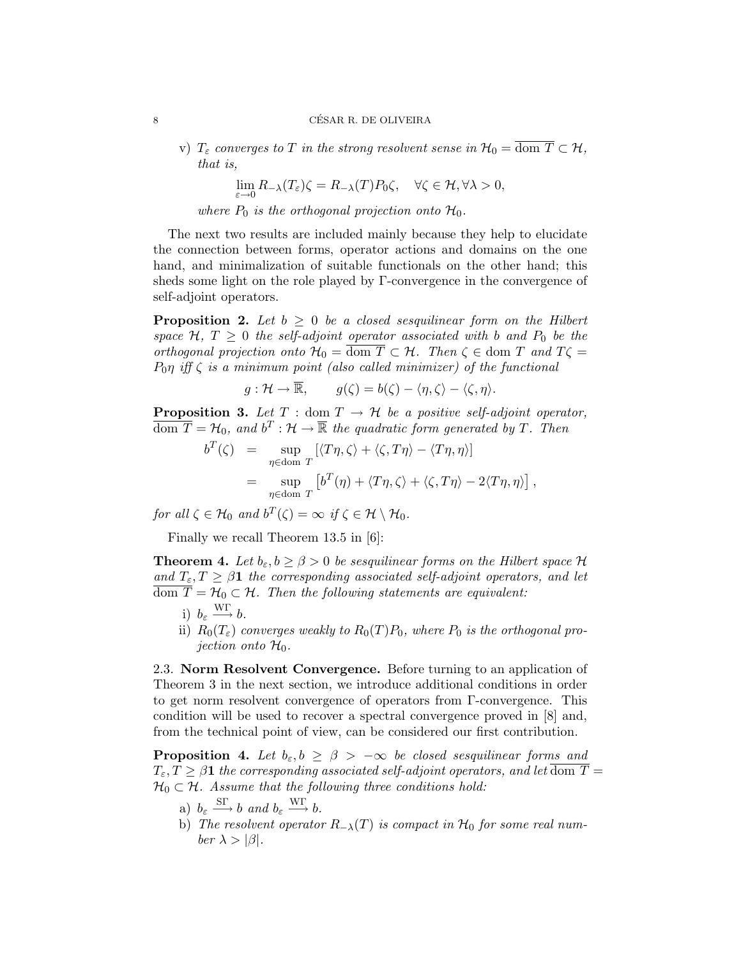v)  $T_{\varepsilon}$  converges to T in the strong resolvent sense in  $\mathcal{H}_0 = \overline{\text{dom } T} \subset \mathcal{H}$ , that is,

$$
\lim_{\varepsilon\to 0}R_{-\lambda}(T_{\varepsilon})\zeta=R_{-\lambda}(T)P_0\zeta,\quad\forall\zeta\in\mathcal{H},\forall\lambda>0,
$$

where  $P_0$  is the orthogonal projection onto  $\mathcal{H}_0$ .

The next two results are included mainly because they help to elucidate the connection between forms, operator actions and domains on the one hand, and minimalization of suitable functionals on the other hand; this sheds some light on the role played by Γ-convergence in the convergence of self-adjoint operators.

**Proposition 2.** Let  $b \geq 0$  be a closed sesquilinear form on the Hilbert space  $\mathcal{H}, T \geq 0$  the self-adjoint operator associated with b and  $P_0$  be the orthogonal projection onto  $\mathcal{H}_0 = \overline{\text{dom } T} \subset \mathcal{H}$ . Then  $\zeta \in \text{dom } T$  and  $T\zeta =$  $P_0\eta$  iff  $\zeta$  is a minimum point (also called minimizer) of the functional

$$
g: \mathcal{H} \to \overline{\mathbb{R}}, \qquad g(\zeta) = b(\zeta) - \langle \eta, \zeta \rangle - \langle \zeta, \eta \rangle.
$$

**Proposition 3.** Let  $T : \text{dom } T \to \mathcal{H}$  be a positive self-adjoint operator,  $\overline{\text{dom }T} = \mathcal{H}_0$ , and  $b^T : \mathcal{H} \to \overline{\mathbb{R}}$  the quadratic form generated by T. Then

$$
b^T(\zeta) = \sup_{\eta \in \text{dom } T} [\langle T\eta, \zeta \rangle + \langle \zeta, T\eta \rangle - \langle T\eta, \eta \rangle] = \sup_{\eta \in \text{dom } T} [b^T(\eta) + \langle T\eta, \zeta \rangle + \langle \zeta, T\eta \rangle - 2\langle T\eta, \eta \rangle],
$$

for all  $\zeta \in \mathcal{H}_0$  and  $b^T(\zeta) = \infty$  if  $\zeta \in \mathcal{H} \setminus \mathcal{H}_0$ .

Finally we recall Theorem 13.5 in [6]:

**Theorem 4.** Let  $b_{\varepsilon}, b \geq \beta > 0$  be sesquilinear forms on the Hilbert space H and  $T_{\varepsilon}, T \geq \beta \mathbf{1}$  the corresponding associated self-adjoint operators, and let  $\overline{\text{dom }T} = \mathcal{H}_0 \subset \mathcal{H}$ . Then the following statements are equivalent:

- i)  $b_{\varepsilon} \xrightarrow{\text{WT}} b$ .
- ii)  $R_0(T_\varepsilon)$  converges weakly to  $R_0(T)P_0$ , where  $P_0$  is the orthogonal projection onto  $\mathcal{H}_0$ .

2.3. Norm Resolvent Convergence. Before turning to an application of Theorem 3 in the next section, we introduce additional conditions in order to get norm resolvent convergence of operators from Γ-convergence. This condition will be used to recover a spectral convergence proved in [8] and, from the technical point of view, can be considered our first contribution.

**Proposition 4.** Let  $b_{\varepsilon}, b \geq \beta > -\infty$  be closed sesquilinear forms and  $T_{\varepsilon}, T \geq \beta 1$  the corresponding associated self-adjoint operators, and let  $\overline{\text{dom }T} =$  $\mathcal{H}_0 \subset \mathcal{H}$ . Assume that the following three conditions hold:

- a)  $b_{\varepsilon} \xrightarrow{\text{ST}} b$  and  $b_{\varepsilon} \xrightarrow{\text{WT}} b$ .
- b) The resolvent operator  $R_{-\lambda}(T)$  is compact in  $\mathcal{H}_0$  for some real number  $\lambda > |\beta|$ .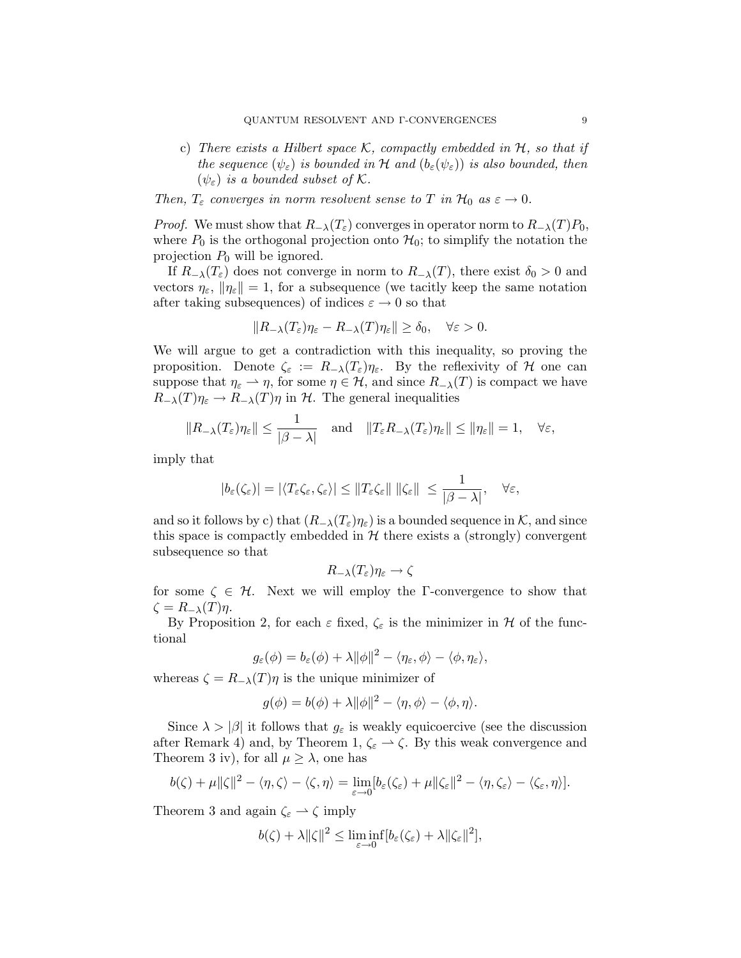- c) There exists a Hilbert space K, compactly embedded in  $H$ , so that if the sequence  $(\psi_{\varepsilon})$  is bounded in H and  $(b_{\varepsilon}(\psi_{\varepsilon}))$  is also bounded, then  $(\psi_{\varepsilon})$  is a bounded subset of K.
- Then,  $T_{\varepsilon}$  converges in norm resolvent sense to T in  $\mathcal{H}_0$  as  $\varepsilon \to 0$ .

*Proof.* We must show that  $R_{-\lambda}(T_{\varepsilon})$  converges in operator norm to  $R_{-\lambda}(T)P_0$ , where  $P_0$  is the orthogonal projection onto  $\mathcal{H}_0$ ; to simplify the notation the projection  $P_0$  will be ignored.

If  $R_{-\lambda}(T_{\varepsilon})$  does not converge in norm to  $R_{-\lambda}(T)$ , there exist  $\delta_0 > 0$  and vectors  $\eta_{\varepsilon}$ ,  $\|\eta_{\varepsilon}\|=1$ , for a subsequence (we tacitly keep the same notation after taking subsequences) of indices  $\varepsilon \to 0$  so that

$$
||R_{-\lambda}(T_{\varepsilon})\eta_{\varepsilon} - R_{-\lambda}(T)\eta_{\varepsilon}|| \ge \delta_0, \quad \forall \varepsilon > 0.
$$

We will argue to get a contradiction with this inequality, so proving the proposition. Denote  $\zeta_{\varepsilon} := R_{-\lambda}(T_{\varepsilon})\eta_{\varepsilon}$ . By the reflexivity of H one can suppose that  $\eta_{\varepsilon} \to \eta$ , for some  $\eta \in \mathcal{H}$ , and since  $R_{-\lambda}(T)$  is compact we have  $R_{-\lambda}(T)\eta_{\varepsilon} \to R_{-\lambda}(T)\eta$  in H. The general inequalities

$$
||R_{-\lambda}(T_{\varepsilon})\eta_{\varepsilon}|| \le \frac{1}{|\beta-\lambda|}
$$
 and  $||T_{\varepsilon}R_{-\lambda}(T_{\varepsilon})\eta_{\varepsilon}|| \le ||\eta_{\varepsilon}|| = 1$ ,  $\forall \varepsilon$ ,

imply that

$$
|b_{\varepsilon}(\zeta_{\varepsilon})| = |\langle T_{\varepsilon} \zeta_{\varepsilon}, \zeta_{\varepsilon} \rangle| \leq \|T_{\varepsilon} \zeta_{\varepsilon}\| \, \|\zeta_{\varepsilon}\| \, \leq \, \frac{1}{|\beta - \lambda|}, \quad \forall \varepsilon,
$$

and so it follows by c) that  $(R_{-\lambda}(T_{\varepsilon})\eta_{\varepsilon})$  is a bounded sequence in K, and since this space is compactly embedded in  $\mathcal H$  there exists a (strongly) convergent subsequence so that

$$
R_{-\lambda}(T_{\varepsilon})\eta_{\varepsilon}\to \zeta
$$

for some  $\zeta \in \mathcal{H}$ . Next we will employ the Γ-convergence to show that  $\zeta = R_{-\lambda}(T)\eta$ .

By Proposition 2, for each  $\varepsilon$  fixed,  $\zeta_{\varepsilon}$  is the minimizer in H of the functional

$$
g_{\varepsilon}(\phi) = b_{\varepsilon}(\phi) + \lambda ||\phi||^2 - \langle \eta_{\varepsilon}, \phi \rangle - \langle \phi, \eta_{\varepsilon} \rangle,
$$

whereas  $\zeta = R_{-\lambda}(T)\eta$  is the unique minimizer of

$$
g(\phi) = b(\phi) + \lambda ||\phi||^2 - \langle \eta, \phi \rangle - \langle \phi, \eta \rangle.
$$

Since  $\lambda > |\beta|$  it follows that  $g_{\varepsilon}$  is weakly equicoercive (see the discussion after Remark 4) and, by Theorem 1,  $\zeta_{\varepsilon} \to \zeta$ . By this weak convergence and Theorem 3 iv), for all  $\mu \geq \lambda$ , one has

$$
b(\zeta)+\mu\|\zeta\|^2-\langle\eta,\zeta\rangle-\langle\zeta,\eta\rangle=\lim_{\varepsilon\to 0}[b_\varepsilon(\zeta_\varepsilon)+\mu\|\zeta_\varepsilon\|^2-\langle\eta,\zeta_\varepsilon\rangle-\langle\zeta_\varepsilon,\eta\rangle].
$$

Theorem 3 and again  $\zeta_{\varepsilon} \rightharpoonup \zeta$  imply

$$
b(\zeta) + \lambda ||\zeta||^2 \leq \liminf_{\varepsilon \to 0} [b_{\varepsilon}(\zeta_{\varepsilon}) + \lambda ||\zeta_{\varepsilon}||^2],
$$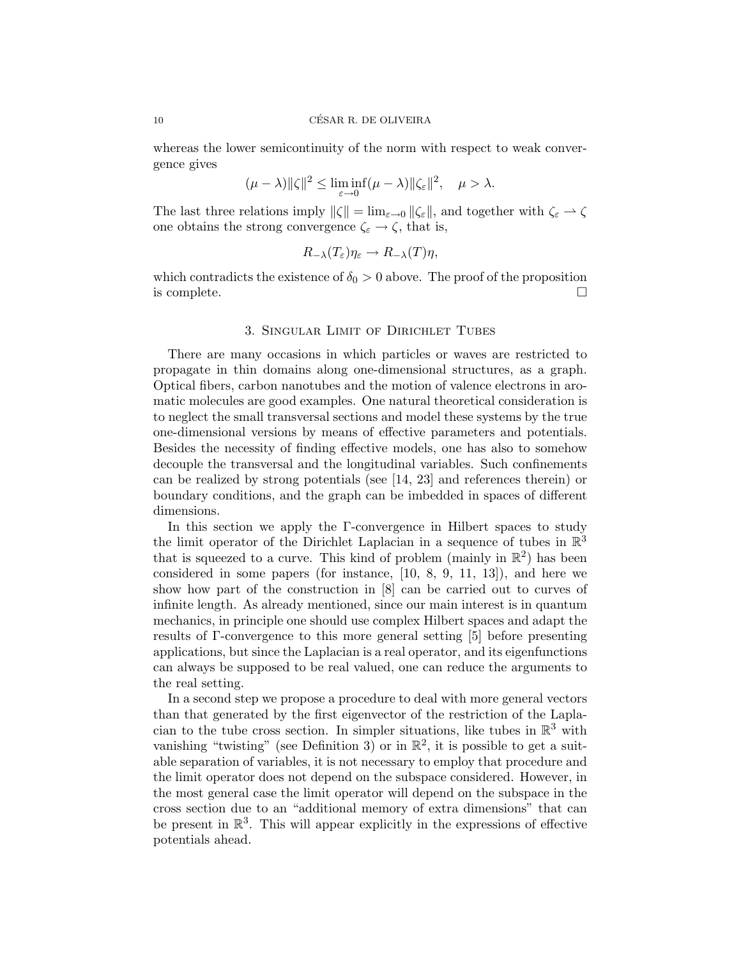whereas the lower semicontinuity of the norm with respect to weak convergence gives

$$
(\mu - \lambda) \|\zeta\|^2 \le \liminf_{\varepsilon \to 0} (\mu - \lambda) \|\zeta_{\varepsilon}\|^2, \quad \mu > \lambda.
$$

The last three relations imply  $\|\zeta\| = \lim_{\varepsilon \to 0} \|\zeta_{\varepsilon}\|$ , and together with  $\zeta_{\varepsilon} \to \zeta$ one obtains the strong convergence  $\zeta_{\varepsilon} \to \zeta$ , that is,

$$
R_{-\lambda}(T_{\varepsilon})\eta_{\varepsilon} \to R_{-\lambda}(T)\eta,
$$

which contradicts the existence of  $\delta_0 > 0$  above. The proof of the proposition is complete.  $\Box$ 

#### 3. Singular Limit of Dirichlet Tubes

There are many occasions in which particles or waves are restricted to propagate in thin domains along one-dimensional structures, as a graph. Optical fibers, carbon nanotubes and the motion of valence electrons in aromatic molecules are good examples. One natural theoretical consideration is to neglect the small transversal sections and model these systems by the true one-dimensional versions by means of effective parameters and potentials. Besides the necessity of finding effective models, one has also to somehow decouple the transversal and the longitudinal variables. Such confinements can be realized by strong potentials (see [14, 23] and references therein) or boundary conditions, and the graph can be imbedded in spaces of different dimensions.

In this section we apply the Γ-convergence in Hilbert spaces to study the limit operator of the Dirichlet Laplacian in a sequence of tubes in  $\mathbb{R}^3$ that is squeezed to a curve. This kind of problem (mainly in  $\mathbb{R}^2$ ) has been considered in some papers (for instance, [10, 8, 9, 11, 13]), and here we show how part of the construction in [8] can be carried out to curves of infinite length. As already mentioned, since our main interest is in quantum mechanics, in principle one should use complex Hilbert spaces and adapt the results of Γ-convergence to this more general setting [5] before presenting applications, but since the Laplacian is a real operator, and its eigenfunctions can always be supposed to be real valued, one can reduce the arguments to the real setting.

In a second step we propose a procedure to deal with more general vectors than that generated by the first eigenvector of the restriction of the Laplacian to the tube cross section. In simpler situations, like tubes in  $\mathbb{R}^3$  with vanishing "twisting" (see Definition 3) or in  $\mathbb{R}^2$ , it is possible to get a suitable separation of variables, it is not necessary to employ that procedure and the limit operator does not depend on the subspace considered. However, in the most general case the limit operator will depend on the subspace in the cross section due to an "additional memory of extra dimensions" that can be present in  $\mathbb{R}^3$ . This will appear explicitly in the expressions of effective potentials ahead.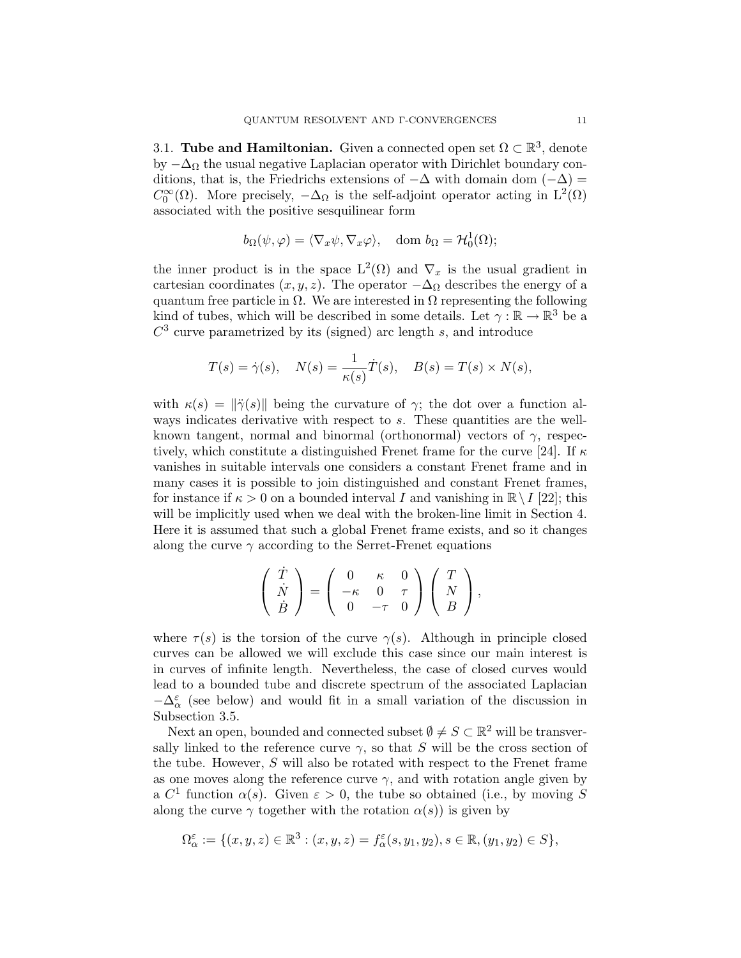3.1. Tube and Hamiltonian. Given a connected open set  $\Omega \subset \mathbb{R}^3$ , denote by  $-\Delta_{\Omega}$  the usual negative Laplacian operator with Dirichlet boundary conditions, that is, the Friedrichs extensions of  $-\Delta$  with domain dom  $(-\Delta)$  =  $C_0^{\infty}(\Omega)$ . More precisely,  $-\Delta_{\Omega}$  is the self-adjoint operator acting in  $L^2(\Omega)$ associated with the positive sesquilinear form

$$
b_{\Omega}(\psi, \varphi) = \langle \nabla_x \psi, \nabla_x \varphi \rangle
$$
, dom  $b_{\Omega} = \mathcal{H}_0^1(\Omega)$ ;

the inner product is in the space  $L^2(\Omega)$  and  $\nabla_x$  is the usual gradient in cartesian coordinates  $(x, y, z)$ . The operator  $-\Delta_{\Omega}$  describes the energy of a quantum free particle in  $\Omega$ . We are interested in  $\Omega$  representing the following kind of tubes, which will be described in some details. Let  $\gamma : \mathbb{R} \to \mathbb{R}^3$  be a  $C<sup>3</sup>$  curve parametrized by its (signed) arc length s, and introduce

$$
T(s) = \dot{\gamma}(s), \quad N(s) = \frac{1}{\kappa(s)} \dot{T}(s), \quad B(s) = T(s) \times N(s),
$$

with  $\kappa(s) = \|\ddot{\gamma}(s)\|$  being the curvature of  $\gamma$ ; the dot over a function always indicates derivative with respect to s. These quantities are the wellknown tangent, normal and binormal (orthonormal) vectors of  $\gamma$ , respectively, which constitute a distinguished Frenet frame for the curve [24]. If  $\kappa$ vanishes in suitable intervals one considers a constant Frenet frame and in many cases it is possible to join distinguished and constant Frenet frames, for instance if  $\kappa > 0$  on a bounded interval I and vanishing in  $\mathbb{R} \setminus I$  [22]; this will be implicitly used when we deal with the broken-line limit in Section 4. Here it is assumed that such a global Frenet frame exists, and so it changes along the curve  $\gamma$  according to the Serret-Frenet equations

$$
\left(\begin{array}{c}\n\dot{T} \\
\dot{N} \\
\dot{B}\n\end{array}\right) = \left(\begin{array}{ccc}\n0 & \kappa & 0 \\
-\kappa & 0 & \tau \\
0 & -\tau & 0\n\end{array}\right) \left(\begin{array}{c}\nT \\
N \\
B\n\end{array}\right),
$$

where  $\tau(s)$  is the torsion of the curve  $\gamma(s)$ . Although in principle closed curves can be allowed we will exclude this case since our main interest is in curves of infinite length. Nevertheless, the case of closed curves would lead to a bounded tube and discrete spectrum of the associated Laplacian  $-\Delta^\varepsilon_\alpha$  (see below) and would fit in a small variation of the discussion in Subsection 3.5.

Next an open, bounded and connected subset  $\emptyset \neq S \subset \mathbb{R}^2$  will be transversally linked to the reference curve  $\gamma$ , so that S will be the cross section of the tube. However, S will also be rotated with respect to the Frenet frame as one moves along the reference curve  $\gamma$ , and with rotation angle given by a  $C^1$  function  $\alpha(s)$ . Given  $\varepsilon > 0$ , the tube so obtained (i.e., by moving S along the curve  $\gamma$  together with the rotation  $\alpha(s)$  is given by

$$
\Omega_{\alpha}^{\varepsilon} := \{ (x, y, z) \in \mathbb{R}^3 : (x, y, z) = f_{\alpha}^{\varepsilon}(s, y_1, y_2), s \in \mathbb{R}, (y_1, y_2) \in S \},
$$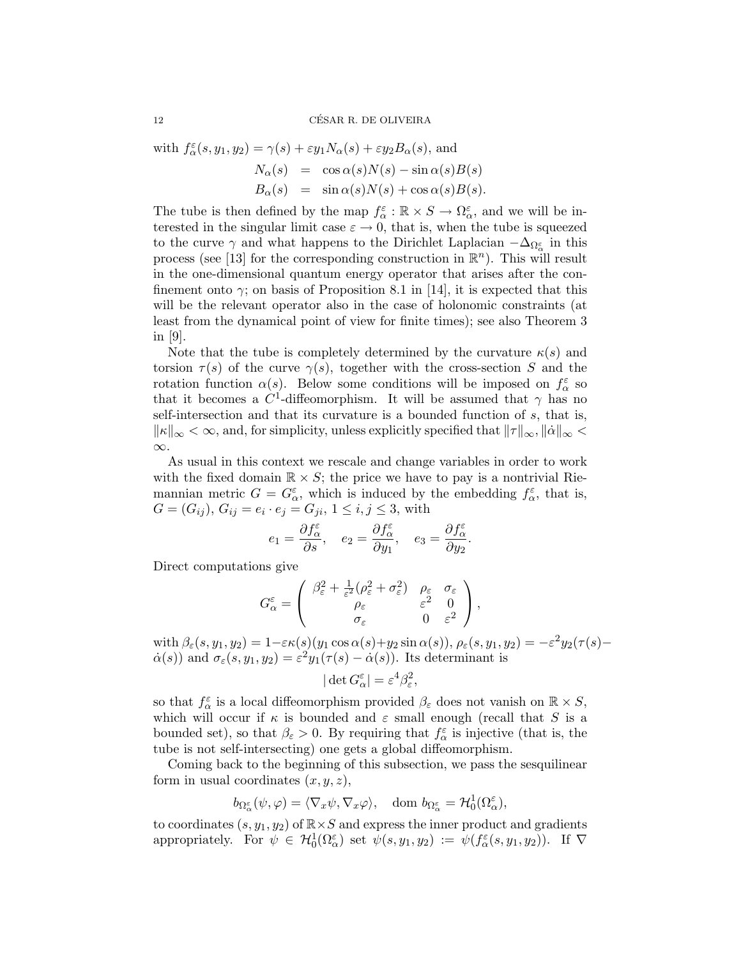with  $f_{\alpha}^{\varepsilon}(s, y_1, y_2) = \gamma(s) + \varepsilon y_1 N_{\alpha}(s) + \varepsilon y_2 B_{\alpha}(s)$ , and

$$
N_{\alpha}(s) = \cos \alpha(s)N(s) - \sin \alpha(s)B(s)
$$
  
\n
$$
B_{\alpha}(s) = \sin \alpha(s)N(s) + \cos \alpha(s)B(s).
$$

The tube is then defined by the map  $f_{\alpha}^{\varepsilon} : \mathbb{R} \times S \to \Omega_{\alpha}^{\varepsilon}$ , and we will be interested in the singular limit case  $\varepsilon \to 0$ , that is, when the tube is squeezed to the curve  $\gamma$  and what happens to the Dirichlet Laplacian  $-\Delta_{\Omega^{\varepsilon}_{\alpha}}$  in this process (see [13] for the corresponding construction in  $\mathbb{R}^n$ ). This will result in the one-dimensional quantum energy operator that arises after the confinement onto  $\gamma$ ; on basis of Proposition 8.1 in [14], it is expected that this will be the relevant operator also in the case of holonomic constraints (at least from the dynamical point of view for finite times); see also Theorem 3 in [9].

Note that the tube is completely determined by the curvature  $\kappa(s)$  and torsion  $\tau(s)$  of the curve  $\gamma(s)$ , together with the cross-section S and the rotation function  $\alpha(s)$ . Below some conditions will be imposed on  $f_{\alpha}^{\varepsilon}$  so that it becomes a  $C^1$ -diffeomorphism. It will be assumed that  $\gamma$  has no self-intersection and that its curvature is a bounded function of s, that is,  $\|\kappa\|_{\infty} < \infty$ , and, for simplicity, unless explicitly specified that  $\|\tau\|_{\infty}$ ,  $\|\dot{\alpha}\|_{\infty} <$ ∞.

As usual in this context we rescale and change variables in order to work with the fixed domain  $\mathbb{R} \times S$ ; the price we have to pay is a nontrivial Riemannian metric  $G = G_{\alpha}^{\varepsilon}$ , which is induced by the embedding  $f_{\alpha}^{\varepsilon}$ , that is,  $G = (G_{ij}), G_{ij} = e_i \cdot e_j = G_{ji}, 1 \le i, j \le 3$ , with

$$
e_1=\frac{\partial f^{\varepsilon}_{\alpha}}{\partial s},\quad e_2=\frac{\partial f^{\varepsilon}_{\alpha}}{\partial y_1},\quad e_3=\frac{\partial f^{\varepsilon}_{\alpha}}{\partial y_2}.
$$

Direct computations give

$$
G_{\alpha}^{\varepsilon} = \begin{pmatrix} \beta_{\varepsilon}^{2} + \frac{1}{\varepsilon^{2}} (\rho_{\varepsilon}^{2} + \sigma_{\varepsilon}^{2}) & \rho_{\varepsilon} & \sigma_{\varepsilon} \\ \rho_{\varepsilon} & \varepsilon^{2} & 0 \\ \sigma_{\varepsilon} & 0 & \varepsilon^{2} \end{pmatrix},
$$

with  $\beta_{\varepsilon}(s, y_1, y_2) = 1 - \varepsilon \kappa(s) (y_1 \cos \alpha(s) + y_2 \sin \alpha(s)), \rho_{\varepsilon}(s, y_1, y_2) = -\varepsilon^2 y_2(\tau(s) \dot{\alpha}(s)$  and  $\sigma_{\varepsilon}(s, y_1, y_2) = \varepsilon^2 y_1(\tau(s) - \dot{\alpha}(s))$ . Its determinant is

$$
|\det G_{\alpha}^{\varepsilon}| = \varepsilon^4 \beta_{\varepsilon}^2,
$$

so that  $f_{\alpha}^{\varepsilon}$  is a local diffeomorphism provided  $\beta_{\varepsilon}$  does not vanish on  $\mathbb{R} \times S$ , which will occur if  $\kappa$  is bounded and  $\varepsilon$  small enough (recall that S is a bounded set), so that  $\beta_{\varepsilon} > 0$ . By requiring that  $f_{\alpha}^{\varepsilon}$  is injective (that is, the tube is not self-intersecting) one gets a global diffeomorphism.

Coming back to the beginning of this subsection, we pass the sesquilinear form in usual coordinates  $(x, y, z)$ ,

$$
b_{\Omega^\varepsilon_\alpha}(\psi,\varphi)=\langle \nabla_x \psi, \nabla_x \varphi \rangle, \quad \text{dom } b_{\Omega^\varepsilon_\alpha}=\mathcal{H}^1_0(\Omega^\varepsilon_\alpha),
$$

to coordinates  $(s, y_1, y_2)$  of  $\mathbb{R} \times S$  and express the inner product and gradients appropriately. For  $\psi \in H_0^1(\Omega_\alpha^{\varepsilon})$  set  $\psi(s, y_1, y_2) := \psi(f_\alpha^{\varepsilon}(s, y_1, y_2))$ . If  $\nabla$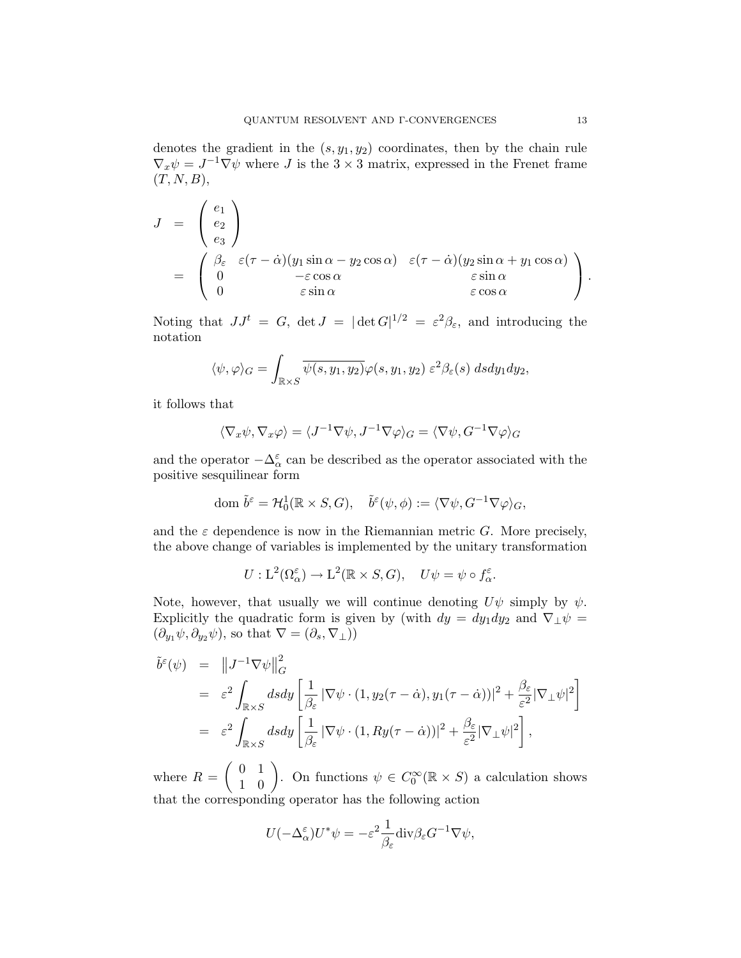denotes the gradient in the  $(s, y_1, y_2)$  coordinates, then by the chain rule  $\nabla_x \psi = J^{-1} \nabla \psi$  where J is the 3 × 3 matrix, expressed in the Frenet frame  $(T, N, B),$ 

$$
J = \begin{pmatrix} e_1 \\ e_2 \\ e_3 \end{pmatrix}
$$
  
= 
$$
\begin{pmatrix} \beta_{\varepsilon} & \varepsilon(\tau - \dot{\alpha})(y_1 \sin \alpha - y_2 \cos \alpha) & \varepsilon(\tau - \dot{\alpha})(y_2 \sin \alpha + y_1 \cos \alpha) \\ 0 & -\varepsilon \cos \alpha & \varepsilon \sin \alpha \\ 0 & \varepsilon \sin \alpha & \varepsilon \cos \alpha \end{pmatrix}.
$$

Noting that  $JJ^t = G$ ,  $\det J = |\det G|^{1/2} = \varepsilon^2 \beta_{\varepsilon}$ , and introducing the notation

$$
\langle \psi, \varphi \rangle_G = \int_{\mathbb{R} \times S} \overline{\psi(s, y_1, y_2)} \varphi(s, y_1, y_2) \ \varepsilon^2 \beta_{\varepsilon}(s) \ dsdy_1dy_2,
$$

it follows that

$$
\langle \nabla_x \psi, \nabla_x \varphi \rangle = \langle J^{-1} \nabla \psi, J^{-1} \nabla \varphi \rangle_G = \langle \nabla \psi, G^{-1} \nabla \varphi \rangle_G
$$

and the operator  $-\Delta_\alpha^\varepsilon$  can be described as the operator associated with the positive sesquilinear form

dom 
$$
\tilde{b}^{\varepsilon} = \mathcal{H}_0^1(\mathbb{R} \times S, G), \quad \tilde{b}^{\varepsilon}(\psi, \phi) := \langle \nabla \psi, G^{-1} \nabla \varphi \rangle_G,
$$

and the  $\varepsilon$  dependence is now in the Riemannian metric G. More precisely, the above change of variables is implemented by the unitary transformation

$$
U: \mathcal{L}^2(\Omega_{\alpha}^{\varepsilon}) \to \mathcal{L}^2(\mathbb{R} \times S, G), \quad U\psi = \psi \circ f_{\alpha}^{\varepsilon}.
$$

Note, however, that usually we will continue denoting  $U\psi$  simply by  $\psi$ . Explicitly the quadratic form is given by (with  $dy = dy_1 dy_2$  and  $\nabla_\perp \psi =$  $(\partial_{y_1}\psi, \partial_{y_2}\psi)$ , so that  $\nabla = (\partial_s, \nabla_\perp)$ 

$$
\tilde{b}^{\varepsilon}(\psi) = ||J^{-1}\nabla\psi||_{G}^{2}
$$
\n
$$
= \varepsilon^{2} \int_{\mathbb{R}\times S} ds dy \left[\frac{1}{\beta_{\varepsilon}} |\nabla\psi \cdot (1, y_{2}(\tau - \dot{\alpha}), y_{1}(\tau - \dot{\alpha}))|^{2} + \frac{\beta_{\varepsilon}}{\varepsilon^{2}} |\nabla_{\perp}\psi|^{2}\right]
$$
\n
$$
= \varepsilon^{2} \int_{\mathbb{R}\times S} ds dy \left[\frac{1}{\beta_{\varepsilon}} |\nabla\psi \cdot (1, Ry(\tau - \dot{\alpha}))|^{2} + \frac{\beta_{\varepsilon}}{\varepsilon^{2}} |\nabla_{\perp}\psi|^{2}\right],
$$

where  $R = \begin{pmatrix} 0 & 1 \\ 1 & 0 \end{pmatrix}$ . On functions  $\psi \in C_0^{\infty}(\mathbb{R} \times S)$  a calculation shows that the corresponding operator has the following action

$$
U(-\Delta_\alpha^\varepsilon)U^*\psi=-\varepsilon^2\frac{1}{\beta_\varepsilon}{\rm div}\beta_\varepsilon G^{-1}\nabla\psi,
$$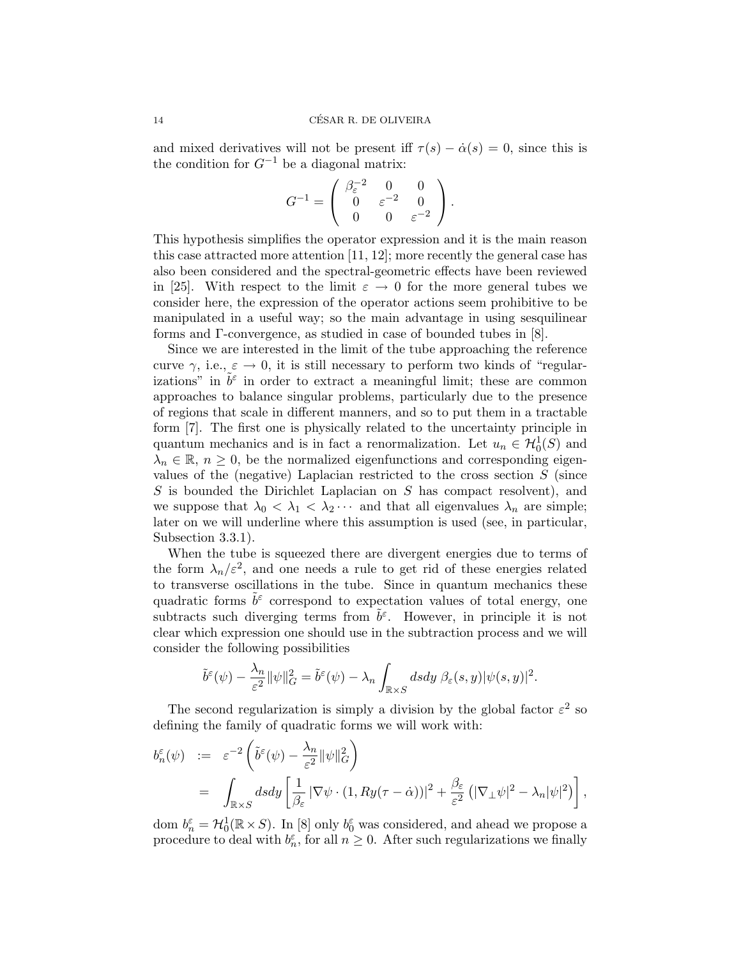and mixed derivatives will not be present iff  $\tau(s) - \dot{\alpha}(s) = 0$ , since this is the condition for  $G^{-1}$  be a diagonal matrix:

$$
G^{-1} = \left( \begin{array}{ccc} \beta_{\varepsilon}^{-2} & 0 & 0 \\ 0 & \varepsilon^{-2} & 0 \\ 0 & 0 & \varepsilon^{-2} \end{array} \right).
$$

This hypothesis simplifies the operator expression and it is the main reason this case attracted more attention [11, 12]; more recently the general case has also been considered and the spectral-geometric effects have been reviewed in [25]. With respect to the limit  $\varepsilon \to 0$  for the more general tubes we consider here, the expression of the operator actions seem prohibitive to be manipulated in a useful way; so the main advantage in using sesquilinear forms and Γ-convergence, as studied in case of bounded tubes in [8].

Since we are interested in the limit of the tube approaching the reference curve  $\gamma$ , i.e.,  $\varepsilon \to 0$ , it is still necessary to perform two kinds of "regularizations" in  $\tilde{b}^{\varepsilon}$  in order to extract a meaningful limit; these are common approaches to balance singular problems, particularly due to the presence of regions that scale in different manners, and so to put them in a tractable form [7]. The first one is physically related to the uncertainty principle in quantum mechanics and is in fact a renormalization. Let  $u_n \in H_0^1(S)$  and  $\lambda_n \in \mathbb{R}, n \geq 0$ , be the normalized eigenfunctions and corresponding eigenvalues of the (negative) Laplacian restricted to the cross section  $S$  (since S is bounded the Dirichlet Laplacian on S has compact resolvent), and we suppose that  $\lambda_0 < \lambda_1 < \lambda_2 \cdots$  and that all eigenvalues  $\lambda_n$  are simple; later on we will underline where this assumption is used (see, in particular, Subsection 3.3.1).

When the tube is squeezed there are divergent energies due to terms of the form  $\lambda_n/\varepsilon^2$ , and one needs a rule to get rid of these energies related to transverse oscillations in the tube. Since in quantum mechanics these quadratic forms  $\tilde{b}^{\varepsilon}$  correspond to expectation values of total energy, one subtracts such diverging terms from  $\tilde{b}^{\varepsilon}$ . However, in principle it is not clear which expression one should use in the subtraction process and we will consider the following possibilities

$$
\tilde{b}^{\varepsilon}(\psi) - \frac{\lambda_n}{\varepsilon^2} ||\psi||_G^2 = \tilde{b}^{\varepsilon}(\psi) - \lambda_n \int_{\mathbb{R} \times S} ds dy \ \beta_{\varepsilon}(s, y) |\psi(s, y)|^2.
$$

The second regularization is simply a division by the global factor  $\varepsilon^2$  so defining the family of quadratic forms we will work with:

$$
b_n^{\varepsilon}(\psi) := \varepsilon^{-2} \left( \tilde{b}^{\varepsilon}(\psi) - \frac{\lambda_n}{\varepsilon^2} ||\psi||_G^2 \right)
$$
  
= 
$$
\int_{\mathbb{R} \times S} ds dy \left[ \frac{1}{\beta_{\varepsilon}} |\nabla \psi \cdot (1, Ry(\tau - \dot{\alpha}))|^2 + \frac{\beta_{\varepsilon}}{\varepsilon^2} (|\nabla_{\perp} \psi|^2 - \lambda_n |\psi|^2) \right],
$$

dom  $b_n^{\varepsilon} = \mathcal{H}_0^1(\mathbb{R} \times S)$ . In [8] only  $b_0^{\varepsilon}$  was considered, and ahead we propose a procedure to deal with  $b_n^{\varepsilon}$ , for all  $n \geq 0$ . After such regularizations we finally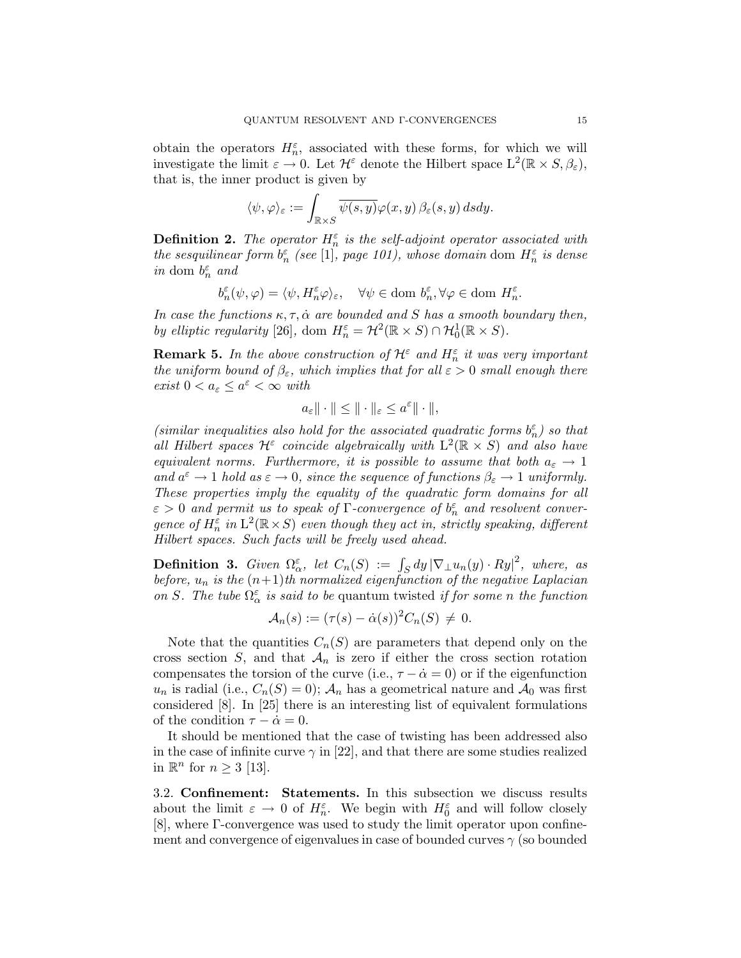obtain the operators  $H_n^{\varepsilon}$ , associated with these forms, for which we will investigate the limit  $\varepsilon \to 0$ . Let  $\mathcal{H}^{\varepsilon}$  denote the Hilbert space  $L^2(\mathbb{R} \times S, \beta_{\varepsilon})$ , that is, the inner product is given by

$$
\langle \psi, \varphi \rangle_{\varepsilon} := \int_{\mathbb{R} \times S} \overline{\psi(s, y)} \varphi(x, y) \, \beta_{\varepsilon}(s, y) \, ds dy.
$$

**Definition 2.** The operator  $H_n^{\varepsilon}$  is the self-adjoint operator associated with the sesquilinear form  $b_n^{\varepsilon}$  (see [1], page 101), whose domain dom  $H_n^{\varepsilon}$  is dense in dom  $b_n^{\varepsilon}$  and

$$
b_n^\varepsilon(\psi,\varphi)=\langle \psi,H_n^\varepsilon \varphi\rangle_\varepsilon,\quad \forall \psi\in\text{dom }b_n^\varepsilon, \forall \varphi\in\text{dom }H_n^\varepsilon.
$$

In case the functions  $\kappa, \tau, \dot{\alpha}$  are bounded and S has a smooth boundary then, by elliptic regularity [26], dom  $H_n^{\varepsilon} = \mathcal{H}^2(\mathbb{R} \times S) \cap \mathcal{H}_0^1(\mathbb{R} \times S)$ .

**Remark 5.** In the above construction of  $\mathcal{H}^{\varepsilon}$  and  $H^{\varepsilon}_n$  it was very important the uniform bound of  $\beta_{\varepsilon}$ , which implies that for all  $\varepsilon > 0$  small enough there exist  $0 < a_{\varepsilon} \leq a^{\varepsilon} < \infty$  with

$$
a_{\varepsilon} \|\cdot\| \le \|\cdot\|_{\varepsilon} \le a^{\varepsilon} \|\cdot\|,
$$

(similar inequalities also hold for the associated quadratic forms  $b_n^{\varepsilon}$ ) so that all Hilbert spaces  $\mathcal{H}^{\varepsilon}$  coincide algebraically with  $\mathcal{L}^2(\mathbb{R} \times S)$  and also have equivalent norms. Furthermore, it is possible to assume that both  $a_{\varepsilon} \to 1$ and  $a^{\varepsilon} \to 1$  hold as  $\varepsilon \to 0$ , since the sequence of functions  $\beta_{\varepsilon} \to 1$  uniformly. These properties imply the equality of the quadratic form domains for all  $\varepsilon > 0$  and permit us to speak of  $\Gamma$ -convergence of  $b_n^{\varepsilon}$  and resolvent convergence of  $H_n^{\varepsilon}$  in  $L^2(\mathbb{R} \times S)$  even though they act in, strictly speaking, different Hilbert spaces. Such facts will be freely used ahead.

**Definition 3.** Given  $\Omega_{\alpha}^{\varepsilon}$ , let  $C_n(S) := \int_S dy |\nabla_{\perp} u_n(y) \cdot Ry|^2$ , where, as before,  $u_n$  is the  $(n+1)$ th normalized eigenfunction of the negative Laplacian on S. The tube  $\Omega_{\alpha}^{\varepsilon}$  is said to be quantum twisted if for some n the function

$$
\mathcal{A}_n(s) := (\tau(s) - \dot{\alpha}(s))^2 C_n(S) \neq 0.
$$

Note that the quantities  $C_n(S)$  are parameters that depend only on the cross section  $S$ , and that  $\mathcal{A}_n$  is zero if either the cross section rotation compensates the torsion of the curve (i.e.,  $\tau - \dot{\alpha} = 0$ ) or if the eigenfunction  $u_n$  is radial (i.e.,  $C_n(S) = 0$ );  $\mathcal{A}_n$  has a geometrical nature and  $\mathcal{A}_0$  was first considered [8]. In [25] there is an interesting list of equivalent formulations of the condition  $\tau - \dot{\alpha} = 0$ .

It should be mentioned that the case of twisting has been addressed also in the case of infinite curve  $\gamma$  in [22], and that there are some studies realized in  $\mathbb{R}^n$  for  $n \geq 3$  [13].

3.2. Confinement: Statements. In this subsection we discuss results about the limit  $\varepsilon \to 0$  of  $H_n^{\varepsilon}$ . We begin with  $H_0^{\varepsilon}$  and will follow closely [8], where Γ-convergence was used to study the limit operator upon confinement and convergence of eigenvalues in case of bounded curves  $\gamma$  (so bounded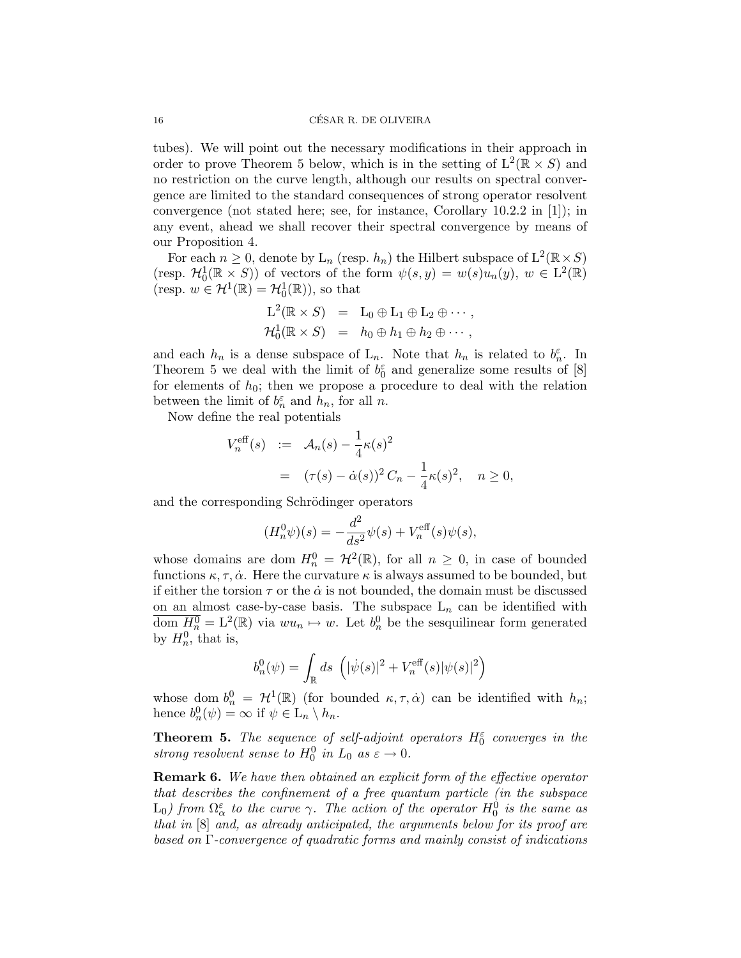tubes). We will point out the necessary modifications in their approach in order to prove Theorem 5 below, which is in the setting of  $L^2(\mathbb{R} \times S)$  and no restriction on the curve length, although our results on spectral convergence are limited to the standard consequences of strong operator resolvent convergence (not stated here; see, for instance, Corollary  $10.2.2$  in [1]); in any event, ahead we shall recover their spectral convergence by means of our Proposition 4.

For each  $n \geq 0$ , denote by  $\mathcal{L}_n$  (resp.  $h_n$ ) the Hilbert subspace of  $\mathcal{L}^2(\mathbb{R} \times S)$ (resp.  $\mathcal{H}_0^1(\mathbb{R} \times S)$ ) of vectors of the form  $\psi(s, y) = w(s)u_n(y), w \in L^2(\mathbb{R})$ (resp.  $w \in H^1(\mathbb{R}) = H_0^1(\mathbb{R})$ ), so that

$$
L^{2}(\mathbb{R} \times S) = L_{0} \oplus L_{1} \oplus L_{2} \oplus \cdots,
$$
  

$$
\mathcal{H}_{0}^{1}(\mathbb{R} \times S) = h_{0} \oplus h_{1} \oplus h_{2} \oplus \cdots,
$$

and each  $h_n$  is a dense subspace of  $L_n$ . Note that  $h_n$  is related to  $b_n^{\varepsilon}$ . In Theorem 5 we deal with the limit of  $b_0^{\varepsilon}$  and generalize some results of [8] for elements of  $h_0$ ; then we propose a procedure to deal with the relation between the limit of  $b_n^{\varepsilon}$  and  $h_n$ , for all n.

Now define the real potentials

$$
V_n^{\text{eff}}(s) := \mathcal{A}_n(s) - \frac{1}{4} \kappa(s)^2
$$
  
=  $(\tau(s) - \dot{\alpha}(s))^2 C_n - \frac{1}{4} \kappa(s)^2, \quad n \ge 0,$ 

and the corresponding Schrödinger operators

$$
(H_n^0 \psi)(s) = -\frac{d^2}{ds^2} \psi(s) + V_n^{\text{eff}}(s) \psi(s),
$$

whose domains are dom  $H_n^0 = \mathcal{H}^2(\mathbb{R})$ , for all  $n \geq 0$ , in case of bounded functions  $\kappa, \tau, \dot{\alpha}$ . Here the curvature  $\kappa$  is always assumed to be bounded, but if either the torsion  $\tau$  or the  $\dot{\alpha}$  is not bounded, the domain must be discussed on an almost case-by-case basis. The subspace  $L_n$  can be identified with  $\overline{\text{dom }\underline{H_n^0}} = L^2(\mathbb{R})$  via  $wu_n \mapsto w$ . Let  $b_n^0$  be the sesquilinear form generated by  $H_n^0$ , that is,

$$
b_n^0(\psi) = \int_{\mathbb{R}} ds \, (\, |\dot{\psi}(s)|^2 + V_n^{\text{eff}}(s) |\psi(s)|^2 \big)
$$

whose dom  $b_n^0 = \mathcal{H}^1(\mathbb{R})$  (for bounded  $\kappa, \tau, \dot{\alpha}$ ) can be identified with  $h_n$ ; hence  $b_n^0(\psi) = \infty$  if  $\psi \in L_n \setminus h_n$ .

**Theorem 5.** The sequence of self-adjoint operators  $H_0^{\varepsilon}$  converges in the strong resolvent sense to  $H_0^0$  in  $L_0$  as  $\varepsilon \to 0$ .

Remark 6. We have then obtained an explicit form of the effective operator that describes the confinement of a free quantum particle (in the subspace  $\mathrm{L}_0$ ) from  $\Omega_\alpha^\varepsilon$  to the curve  $\gamma$ . The action of the operator  $H_0^0$  is the same as that in [8] and, as already anticipated, the arguments below for its proof are based on Γ-convergence of quadratic forms and mainly consist of indications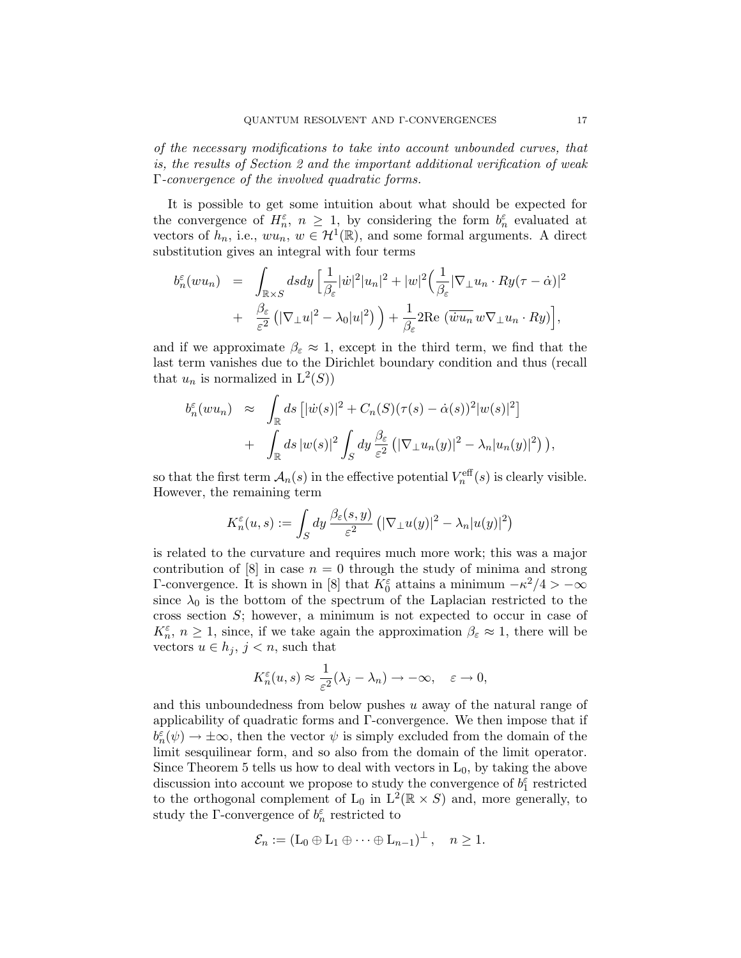of the necessary modifications to take into account unbounded curves, that is, the results of Section 2 and the important additional verification of weak Γ-convergence of the involved quadratic forms.

It is possible to get some intuition about what should be expected for the convergence of  $H_n^{\varepsilon}$ ,  $n \geq 1$ , by considering the form  $b_n^{\varepsilon}$  evaluated at vectors of  $\tilde{h}_n$ , i.e.,  $wu_n, w \in \mathcal{H}^1(\mathbb{R})$ , and some formal arguments. A direct substitution gives an integral with four terms

$$
b_n^{\varepsilon}(wu_n) = \int_{\mathbb{R}\times S} ds dy \left[ \frac{1}{\beta_{\varepsilon}} |\dot{w}|^2 |u_n|^2 + |w|^2 \left( \frac{1}{\beta_{\varepsilon}} |\nabla_{\perp} u_n \cdot Ry(\tau - \dot{\alpha})|^2 \right) + \frac{\beta_{\varepsilon}}{\varepsilon^2} \left( |\nabla_{\perp} u|^2 - \lambda_0 |u|^2 \right) \right) + \frac{1}{\beta_{\varepsilon}} 2 \text{Re} \left( \overline{w} u_n w \nabla_{\perp} u_n \cdot Ry \right),
$$

and if we approximate  $\beta_{\varepsilon} \approx 1$ , except in the third term, we find that the last term vanishes due to the Dirichlet boundary condition and thus (recall that  $u_n$  is normalized in  $L^2(S)$ )

$$
b_n^{\varepsilon}(wu_n) \approx \int_{\mathbb{R}} ds \left[ |\dot{w}(s)|^2 + C_n(S)(\tau(s) - \dot{\alpha}(s))^2 |w(s)|^2 \right] + \int_{\mathbb{R}} ds \, |w(s)|^2 \int_S dy \, \frac{\beta_{\varepsilon}}{\varepsilon^2} \left( |\nabla_{\perp} u_n(y)|^2 - \lambda_n |u_n(y)|^2 \right) \right),
$$

so that the first term  $\mathcal{A}_n(s)$  in the effective potential  $V_n^{\text{eff}}(s)$  is clearly visible. However, the remaining term

$$
K_n^{\varepsilon}(u,s) := \int_S dy \, \frac{\beta_{\varepsilon}(s,y)}{\varepsilon^2} \left( |\nabla \Psi(u(y)|^2 - \lambda_n |u(y)|^2 \right)
$$

is related to the curvature and requires much more work; this was a major contribution of  $[8]$  in case  $n = 0$  through the study of minima and strong Γ-convergence. It is shown in [8] that  $K_0^{\varepsilon}$  attains a minimum  $-\kappa^2/4 > -\infty$ since  $\lambda_0$  is the bottom of the spectrum of the Laplacian restricted to the cross section S; however, a minimum is not expected to occur in case of  $K_n^{\varepsilon}$ ,  $n \geq 1$ , since, if we take again the approximation  $\beta_{\varepsilon} \approx 1$ , there will be vectors  $u \in h_j$ ,  $j < n$ , such that

$$
K_n^{\varepsilon}(u,s) \approx \frac{1}{\varepsilon^2}(\lambda_j - \lambda_n) \to -\infty, \quad \varepsilon \to 0,
$$

and this unboundedness from below pushes  $u$  away of the natural range of applicability of quadratic forms and Γ-convergence. We then impose that if  $b_n^{\varepsilon}(\psi) \to \pm \infty$ , then the vector  $\psi$  is simply excluded from the domain of the limit sesquilinear form, and so also from the domain of the limit operator. Since Theorem 5 tells us how to deal with vectors in  $L_0$ , by taking the above discussion into account we propose to study the convergence of  $b_1^{\varepsilon}$  restricted to the orthogonal complement of  $L_0$  in  $L^2(\mathbb{R} \times S)$  and, more generally, to study the  $\Gamma$ -convergence of  $b_n^{\varepsilon}$  restricted to

$$
\mathcal{E}_n := (L_0 \oplus L_1 \oplus \cdots \oplus L_{n-1})^{\perp}, \quad n \geq 1.
$$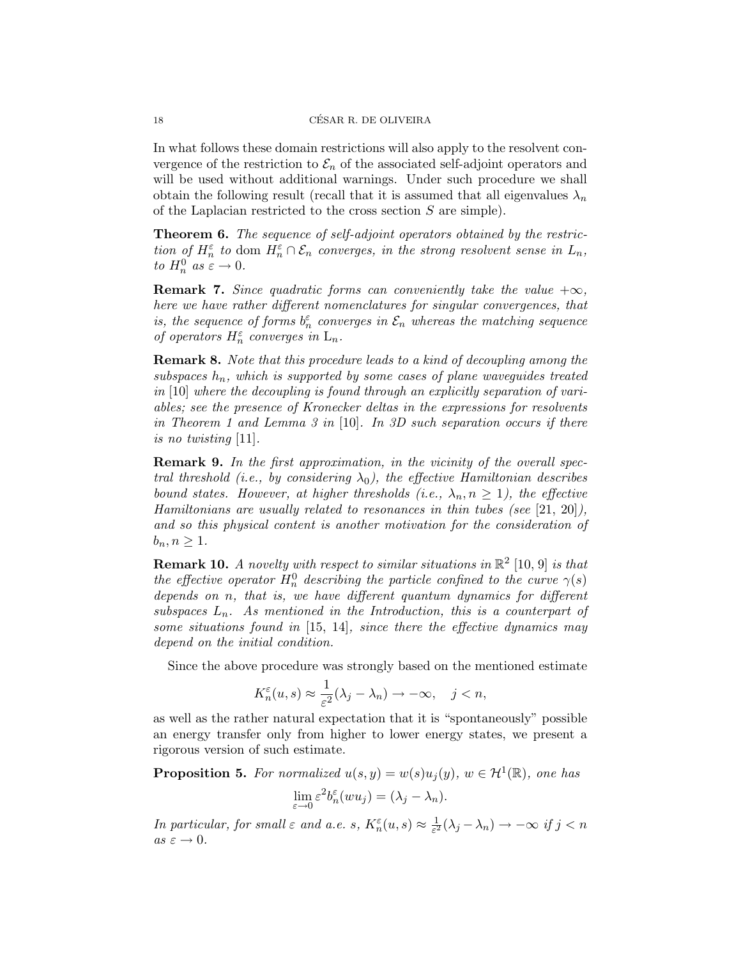In what follows these domain restrictions will also apply to the resolvent convergence of the restriction to  $\mathcal{E}_n$  of the associated self-adjoint operators and will be used without additional warnings. Under such procedure we shall obtain the following result (recall that it is assumed that all eigenvalues  $\lambda_n$ of the Laplacian restricted to the cross section S are simple).

Theorem 6. The sequence of self-adjoint operators obtained by the restriction of  $H_n^{\varepsilon}$  to dom  $H_n^{\varepsilon} \cap \mathcal{E}_n$  converges, in the strong resolvent sense in  $L_n$ , to  $H_n^0$  as  $\varepsilon \to 0$ .

**Remark 7.** Since quadratic forms can conveniently take the value  $+\infty$ , here we have rather different nomenclatures for singular convergences, that is, the sequence of forms  $b_n^{\varepsilon}$  converges in  $\mathcal{E}_n$  whereas the matching sequence of operators  $H_n^\varepsilon$  converges in  $\mathcal{L}_n.$ 

Remark 8. Note that this procedure leads to a kind of decoupling among the subspaces  $h_n$ , which is supported by some cases of plane waveguides treated in [10] where the decoupling is found through an explicitly separation of variables; see the presence of Kronecker deltas in the expressions for resolvents in Theorem 1 and Lemma 3 in [10]. In 3D such separation occurs if there is no twisting [11].

Remark 9. In the first approximation, in the vicinity of the overall spectral threshold (i.e., by considering  $\lambda_0$ ), the effective Hamiltonian describes bound states. However, at higher thresholds (i.e.,  $\lambda_n, n \geq 1$ ), the effective Hamiltonians are usually related to resonances in thin tubes (see  $[21, 20]$ ), and so this physical content is another motivation for the consideration of  $b_n, n \geq 1$ .

**Remark 10.** A novelty with respect to similar situations in  $\mathbb{R}^2$  [10, 9] is that the effective operator  $H_n^0$  describing the particle confined to the curve  $\gamma(s)$ depends on n, that is, we have different quantum dynamics for different subspaces  $L_n$ . As mentioned in the Introduction, this is a counterpart of some situations found in  $[15, 14]$ , since there the effective dynamics may depend on the initial condition.

Since the above procedure was strongly based on the mentioned estimate

$$
K_n^{\varepsilon}(u,s) \approx \frac{1}{\varepsilon^2}(\lambda_j - \lambda_n) \to -\infty, \quad j < n,
$$

as well as the rather natural expectation that it is "spontaneously" possible an energy transfer only from higher to lower energy states, we present a rigorous version of such estimate.

**Proposition 5.** For normalized  $u(s, y) = w(s)u_j(y)$ ,  $w \in H^1(\mathbb{R})$ , one has

$$
\lim_{\varepsilon \to 0} \varepsilon^2 b_n^{\varepsilon} (w u_j) = (\lambda_j - \lambda_n).
$$

In particular, for small  $\varepsilon$  and a.e. s,  $K_n^{\varepsilon}(u, s) \approx \frac{1}{\varepsilon^2}$  $\frac{1}{\varepsilon^2}(\lambda_j - \lambda_n) \to -\infty$  if  $j < n$ as  $\varepsilon \to 0$ .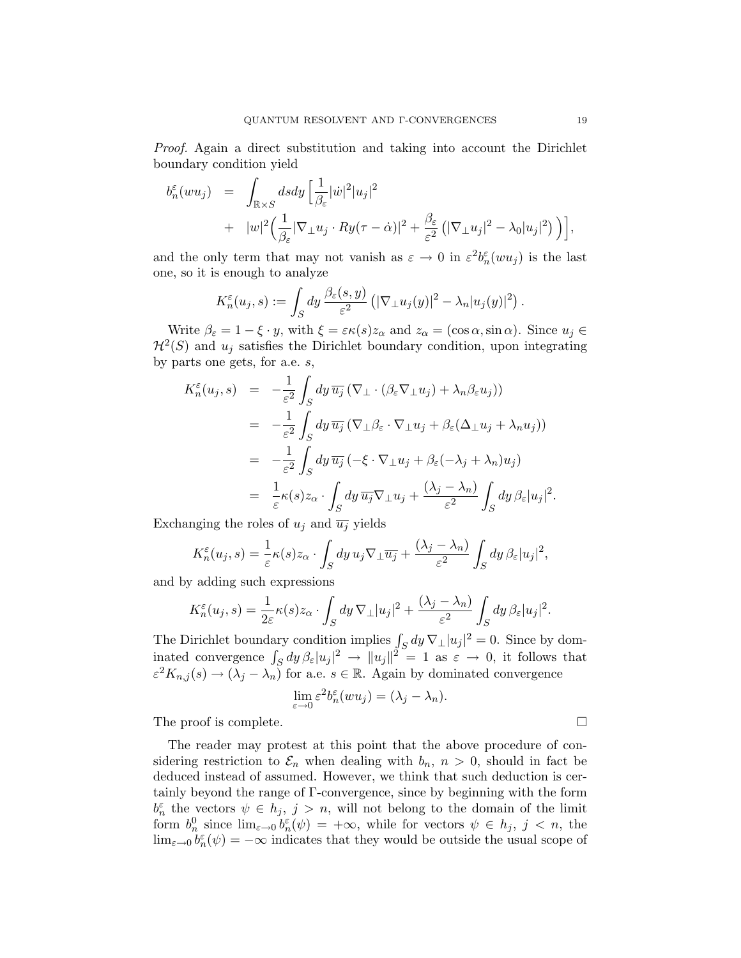Proof. Again a direct substitution and taking into account the Dirichlet boundary condition yield

$$
b_n^{\varepsilon}(wu_j) = \int_{\mathbb{R}\times S} ds dy \left[ \frac{1}{\beta_{\varepsilon}} |\dot{w}|^2 |u_j|^2 + |w|^2 \left( \frac{1}{\beta_{\varepsilon}} |\nabla_{\perp} u_j \cdot Ry(\tau - \dot{\alpha})|^2 + \frac{\beta_{\varepsilon}}{\varepsilon^2} \left( |\nabla_{\perp} u_j|^2 - \lambda_0 |u_j|^2 \right) \right) \right],
$$

and the only term that may not vanish as  $\varepsilon \to 0$  in  $\varepsilon^2 b_n^{\varepsilon}(w u_j)$  is the last one, so it is enough to analyze

$$
K_n^{\varepsilon}(u_j, s) := \int_S dy \, \frac{\beta_{\varepsilon}(s, y)}{\varepsilon^2} \left( |\nabla_{\perp} u_j(y)|^2 - \lambda_n |u_j(y)|^2 \right)
$$

Write  $\beta_{\varepsilon} = 1 - \xi \cdot y$ , with  $\xi = \varepsilon \kappa(s) z_{\alpha}$  and  $z_{\alpha} = (\cos \alpha, \sin \alpha)$ . Since  $u_j \in$  $\mathcal{H}^2(S)$  and  $u_j$  satisfies the Dirichlet boundary condition, upon integrating by parts one gets, for a.e. s,

$$
K_n^{\varepsilon}(u_j, s) = -\frac{1}{\varepsilon^2} \int_S dy \, \overline{u_j} \left( \nabla_{\perp} \cdot (\beta_{\varepsilon} \nabla_{\perp} u_j) + \lambda_n \beta_{\varepsilon} u_j \right) )
$$
  
\n
$$
= -\frac{1}{\varepsilon^2} \int_S dy \, \overline{u_j} \left( \nabla_{\perp} \beta_{\varepsilon} \cdot \nabla_{\perp} u_j + \beta_{\varepsilon} (\Delta_{\perp} u_j + \lambda_n u_j) \right)
$$
  
\n
$$
= -\frac{1}{\varepsilon^2} \int_S dy \, \overline{u_j} \left( -\xi \cdot \nabla_{\perp} u_j + \beta_{\varepsilon} (-\lambda_j + \lambda_n) u_j \right)
$$
  
\n
$$
= \frac{1}{\varepsilon} \kappa(s) z_\alpha \cdot \int_S dy \, \overline{u_j} \nabla_{\perp} u_j + \frac{(\lambda_j - \lambda_n)}{\varepsilon^2} \int_S dy \, \beta_{\varepsilon} |u_j|^2
$$

Exchanging the roles of  $u_j$  and  $\overline{u_j}$  yields

$$
K_n^{\varepsilon}(u_j, s) = \frac{1}{\varepsilon} \kappa(s) z_\alpha \cdot \int_S dy \, u_j \nabla_\perp \overline{u_j} + \frac{(\lambda_j - \lambda_n)}{\varepsilon^2} \int_S dy \, \beta_\varepsilon |u_j|^2,
$$

and by adding such expressions

$$
K_n^{\varepsilon}(u_j, s) = \frac{1}{2\varepsilon} \kappa(s) z_\alpha \cdot \int_S dy \, \nabla_{\perp} |u_j|^2 + \frac{(\lambda_j - \lambda_n)}{\varepsilon^2} \int_S dy \, \beta_{\varepsilon} |u_j|^2.
$$

The Dirichlet boundary condition implies  $\int_S dy \nabla_\perp |u_j|^2 = 0$ . Since by dominated convergence  $\int_S dy \,\beta_{\varepsilon} |u_j|^2 \to ||u_j||^2 = 1$  as  $\varepsilon \to 0$ , it follows that  $\varepsilon^2 K_{n,j}(s) \to (\lambda_j - \lambda_n)$  for a.e.  $s \in \mathbb{R}$ . Again by dominated convergence

$$
\lim_{\varepsilon \to 0} \varepsilon^2 b_n^{\varepsilon} (w u_j) = (\lambda_j - \lambda_n).
$$

The proof is complete.

The reader may protest at this point that the above procedure of considering restriction to  $\mathcal{E}_n$  when dealing with  $b_n$ ,  $n > 0$ , should in fact be deduced instead of assumed. However, we think that such deduction is certainly beyond the range of Γ-convergence, since by beginning with the form  $b_n^{\varepsilon}$  the vectors  $\psi \in h_j$ ,  $j > n$ , will not belong to the domain of the limit form  $b_n^0$  since  $\lim_{\varepsilon\to 0} b_n^{\varepsilon}(\psi) = +\infty$ , while for vectors  $\psi \in h_j$ ,  $j < n$ , the  $\lim_{\varepsilon \to 0} b_n^{\varepsilon}(\psi) = -\infty$  indicates that they would be outside the usual scope of

.

.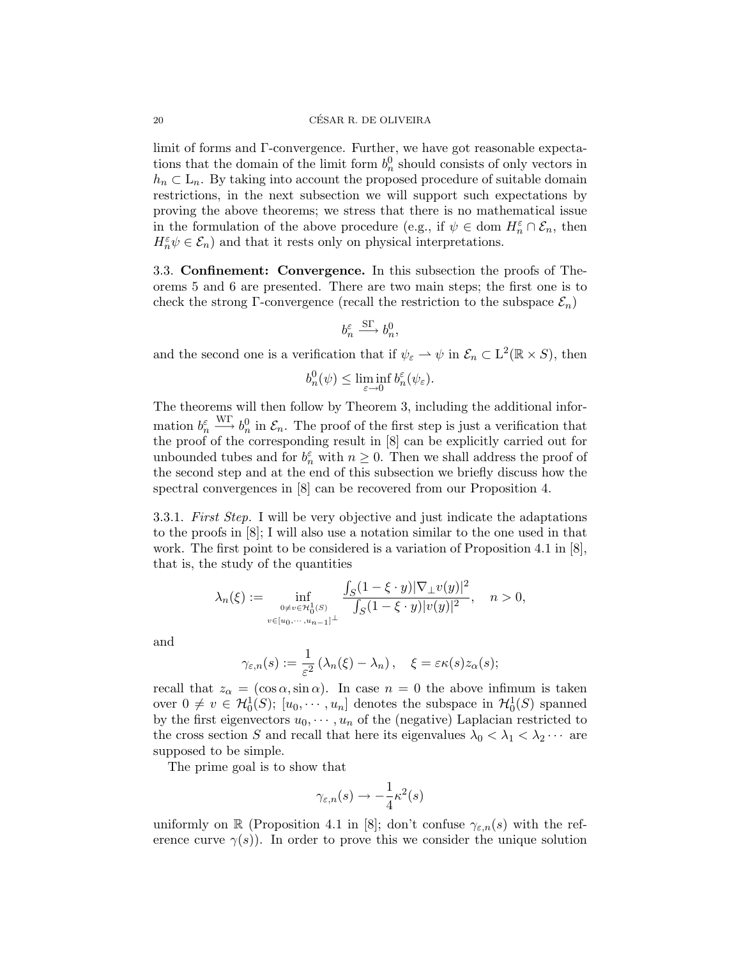limit of forms and Γ-convergence. Further, we have got reasonable expectations that the domain of the limit form  $b_n^0$  should consists of only vectors in  $h_n \subset L_n$ . By taking into account the proposed procedure of suitable domain restrictions, in the next subsection we will support such expectations by proving the above theorems; we stress that there is no mathematical issue in the formulation of the above procedure (e.g., if  $\psi \in \text{dom } H_n^{\varepsilon} \cap \mathcal{E}_n$ , then  $H_n^\varepsilon \psi \in \mathcal{E}_n)$  and that it rests only on physical interpretations.

3.3. Confinement: Convergence. In this subsection the proofs of Theorems 5 and 6 are presented. There are two main steps; the first one is to check the strong Γ-convergence (recall the restriction to the subspace  $\mathcal{E}_n$ )

$$
b_n^{\varepsilon} \overset{\mathrm{S}\Gamma}{\longrightarrow} b_n^0,
$$

and the second one is a verification that if  $\psi_{\varepsilon} \to \psi$  in  $\mathcal{E}_n \subset L^2(\mathbb{R} \times S)$ , then

$$
b_n^0(\psi) \le \liminf_{\varepsilon \to 0} b_n^{\varepsilon}(\psi_{\varepsilon}).
$$

The theorems will then follow by Theorem 3, including the additional information  $b_n^{\varepsilon} \xrightarrow{\text{WT}} b_n^0$  in  $\mathcal{E}_n$ . The proof of the first step is just a verification that the proof of the corresponding result in [8] can be explicitly carried out for unbounded tubes and for  $b_n^{\varepsilon}$  with  $n \geq 0$ . Then we shall address the proof of the second step and at the end of this subsection we briefly discuss how the spectral convergences in [8] can be recovered from our Proposition 4.

3.3.1. First Step. I will be very objective and just indicate the adaptations to the proofs in [8]; I will also use a notation similar to the one used in that work. The first point to be considered is a variation of Proposition 4.1 in [8], that is, the study of the quantities

$$
\lambda_n(\xi) := \inf_{\substack{0 \neq v \in \mathcal{H}_0^1(S) \\ v \in [u_0, \dots, u_{n-1}]^\perp}} \frac{\int_S (1 - \xi \cdot y) |\nabla_\perp v(y)|^2}{\int_S (1 - \xi \cdot y) |v(y)|^2}, \quad n > 0,
$$

and

$$
\gamma_{\varepsilon,n}(s) := \frac{1}{\varepsilon^2} \left( \lambda_n(\xi) - \lambda_n \right), \quad \xi = \varepsilon \kappa(s) z_\alpha(s);
$$

recall that  $z_{\alpha} = (\cos \alpha, \sin \alpha)$ . In case  $n = 0$  the above infimum is taken over  $0 \neq v \in H_0^1(S); [u_0, \dots, u_n]$  denotes the subspace in  $H_0^1(S)$  spanned by the first eigenvectors  $u_0, \dots, u_n$  of the (negative) Laplacian restricted to the cross section S and recall that here its eigenvalues  $\lambda_0 < \lambda_1 < \lambda_2 \cdots$  are supposed to be simple.

The prime goal is to show that

$$
\gamma_{\varepsilon,n}(s) \to -\frac{1}{4}\kappa^2(s)
$$

uniformly on R (Proposition 4.1 in [8]; don't confuse  $\gamma_{\varepsilon,n}(s)$  with the reference curve  $\gamma(s)$ ). In order to prove this we consider the unique solution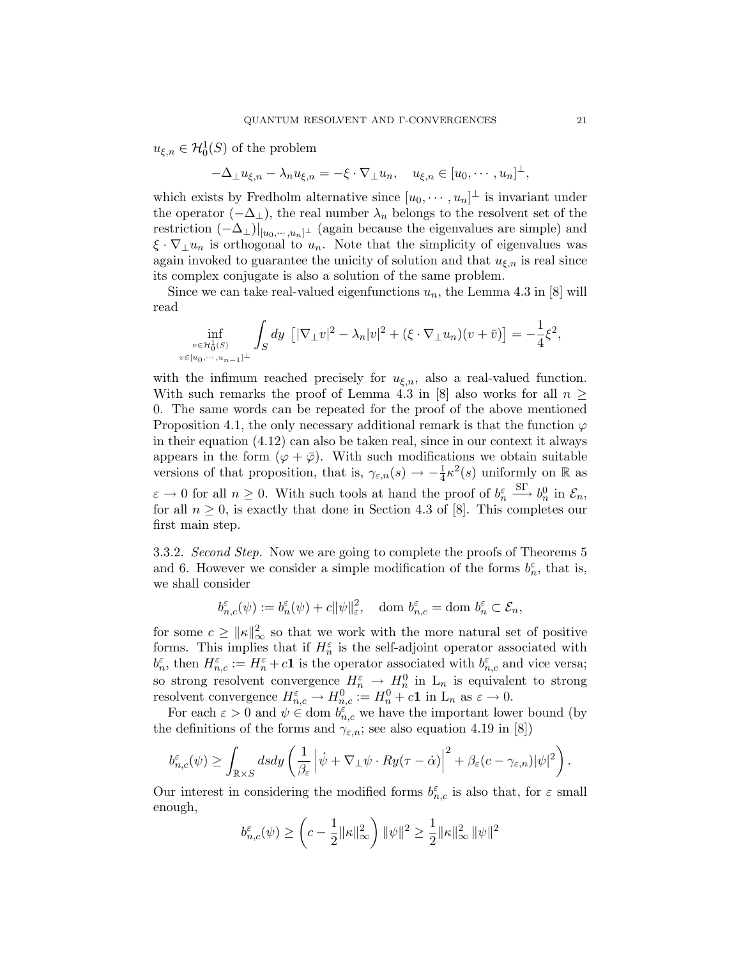$u_{\xi,n} \in \mathcal{H}_0^1(S)$  of the problem

$$
-\Delta_{\perp}u_{\xi,n}-\lambda_n u_{\xi,n}=-\xi\cdot\nabla_{\perp}u_n,\quad u_{\xi,n}\in[u_0,\cdots,u_n]^{\perp},
$$

which exists by Fredholm alternative since  $[u_0, \dots, u_n]^\perp$  is invariant under the operator  $(-\Delta_{\perp})$ , the real number  $\lambda_n$  belongs to the resolvent set of the restriction  $(-\Delta_{\perp})|_{[u_0,\dots,u_n]^\perp}$  (again because the eigenvalues are simple) and  $\xi \cdot \nabla_{\perp} u_n$  is orthogonal to  $u_n$ . Note that the simplicity of eigenvalues was again invoked to guarantee the unicity of solution and that  $u_{\xi,n}$  is real since its complex conjugate is also a solution of the same problem.

Since we can take real-valued eigenfunctions  $u_n$ , the Lemma 4.3 in [8] will read

$$
\inf_{\substack{v\in\mathcal{H}_0^1(S)\\v\in[u_0,\cdots,u_{n-1}]^\perp}} \int_S dy \, \left[|\nabla_\perp v|^2 - \lambda_n |v|^2 + (\xi \cdot \nabla_\perp u_n)(v+\bar{v})\right] = -\frac{1}{4}\xi^2,
$$

with the infimum reached precisely for  $u_{\xi,n}$ , also a real-valued function. With such remarks the proof of Lemma 4.3 in [8] also works for all  $n \geq$ 0. The same words can be repeated for the proof of the above mentioned Proposition 4.1, the only necessary additional remark is that the function  $\varphi$ in their equation (4.12) can also be taken real, since in our context it always appears in the form  $(\varphi + \overline{\varphi})$ . With such modifications we obtain suitable versions of that proposition, that is,  $\gamma_{\varepsilon,n}(s) \to -\frac{1}{4}\kappa^2(s)$  uniformly on R as  $\varepsilon \to 0$  for all  $n \geq 0$ . With such tools at hand the proof of  $b_n^{\varepsilon} \xrightarrow{\text{ST}} b_n^0$  in  $\mathcal{E}_n$ , for all  $n \geq 0$ , is exactly that done in Section 4.3 of [8]. This completes our first main step.

3.3.2. Second Step. Now we are going to complete the proofs of Theorems 5 and 6. However we consider a simple modification of the forms  $b_n^{\varepsilon}$ , that is, we shall consider

$$
b_{n,c}^{\varepsilon}(\psi) := b_n^{\varepsilon}(\psi) + c \|\psi\|_{\varepsilon}^2, \quad \text{dom } b_{n,c}^{\varepsilon} = \text{dom } b_n^{\varepsilon} \subset \mathcal{E}_n,
$$

for some  $c \geq ||\kappa||_{\infty}^2$  so that we work with the more natural set of positive forms. This implies that if  $H_n^{\varepsilon}$  is the self-adjoint operator associated with  $b_n^{\varepsilon}$ , then  $H_{n,c}^{\varepsilon} := H_n^{\varepsilon} + c\mathbf{1}$  is the operator associated with  $b_{n,c}^{\varepsilon}$  and vice versa; so strong resolvent convergence  $H_n^{\varepsilon} \to H_n^0$  in  $L_n$  is equivalent to strong resolvent convergence  $H_{n,c}^{\varepsilon} \to H_{n,c}^0 := H_n^0 + c\mathbf{1}$  in  $L_n$  as  $\varepsilon \to 0$ .

For each  $\varepsilon > 0$  and  $\psi \in \text{dom } b_{n,c}^{\varepsilon}$  we have the important lower bound (by the definitions of the forms and  $\gamma_{\varepsilon,n}$ ; see also equation 4.19 in [8])

$$
b_{n,c}^{\varepsilon}(\psi) \geq \int_{\mathbb{R}\times S} ds dy \left( \frac{1}{\beta_{\varepsilon}} \left| \dot{\psi} + \nabla_{\perp} \psi \cdot Ry(\tau - \dot{\alpha}) \right|^{2} + \beta_{\varepsilon} (c - \gamma_{\varepsilon,n}) |\psi|^{2} \right).
$$

Our interest in considering the modified forms  $b^{\varepsilon}_{n,c}$  is also that, for  $\varepsilon$  small enough,

$$
b_{n,c}^{\varepsilon}(\psi) \ge \left(c - \frac{1}{2} \|\kappa\|_{\infty}^2\right) \|\psi\|^2 \ge \frac{1}{2} \|\kappa\|_{\infty}^2 \|\psi\|^2
$$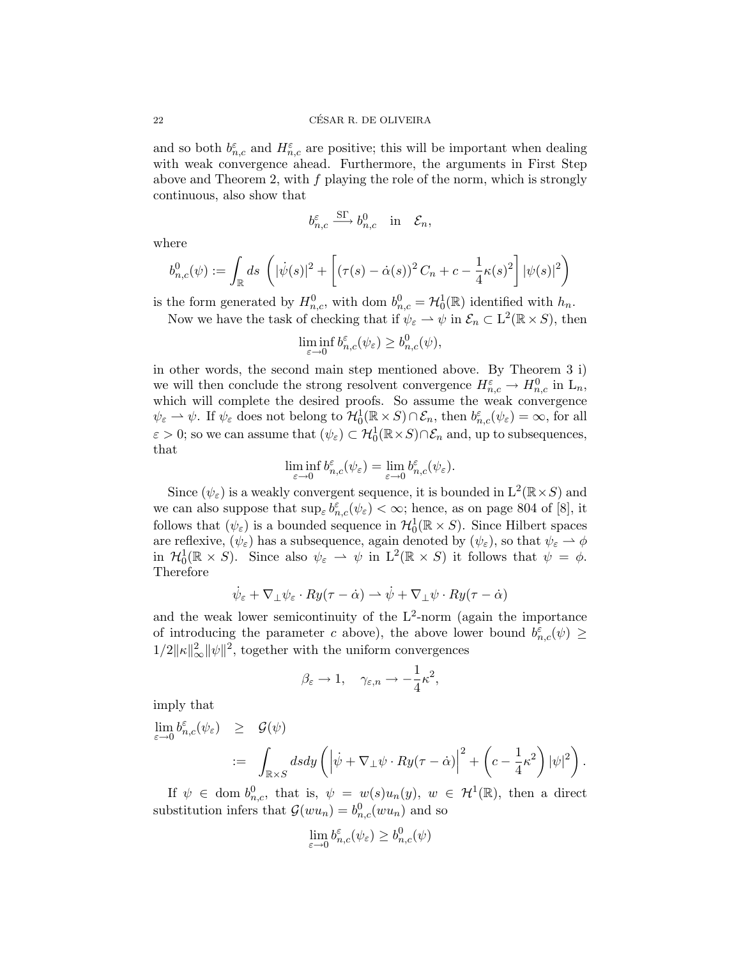and so both  $b_{n,c}^{\varepsilon}$  and  $H_{n,c}^{\varepsilon}$  are positive; this will be important when dealing with weak convergence ahead. Furthermore, the arguments in First Step above and Theorem 2, with  $f$  playing the role of the norm, which is strongly continuous, also show that

$$
b_{n,c}^{\varepsilon} \xrightarrow{\text{ST}} b_{n,c}^0 \quad \text{in} \quad \mathcal{E}_n,
$$

where

$$
b_{n,c}^0(\psi) := \int_{\mathbb{R}} ds \, \left( |\dot{\psi}(s)|^2 + \left[ (\tau(s) - \dot{\alpha}(s))^2 C_n + c - \frac{1}{4} \kappa(s)^2 \right] |\psi(s)|^2 \right)
$$

is the form generated by  $H_{n,c}^0$ , with dom  $b_{n,c}^0 = \mathcal{H}_0^1(\mathbb{R})$  identified with  $h_n$ .

Now we have the task of checking that if  $\psi_{\varepsilon} \to \psi$  in  $\mathcal{E}_n \subset L^2(\mathbb{R} \times S)$ , then

$$
\liminf_{\varepsilon \to 0} b_{n,c}^\varepsilon(\psi_\varepsilon) \ge b_{n,c}^0(\psi),
$$

in other words, the second main step mentioned above. By Theorem 3 i) we will then conclude the strong resolvent convergence  $H_{n,c}^{\varepsilon} \to H_{n,c}^0$  in  $L_n$ , which will complete the desired proofs. So assume the weak convergence  $\psi_{\varepsilon} \to \psi$ . If  $\psi_{\varepsilon}$  does not belong to  $\mathcal{H}_0^1(\mathbb{R} \times S) \cap \mathcal{E}_n$ , then  $b_{n,c}^{\varepsilon}(\psi_{\varepsilon}) = \infty$ , for all  $\varepsilon > 0$ ; so we can assume that  $(\psi_{\varepsilon}) \subset H_0^1(\mathbb{R} \times S) \cap \mathcal{E}_n$  and, up to subsequences, that

$$
\liminf_{\varepsilon \to 0} b_{n,c}^{\varepsilon}(\psi_{\varepsilon}) = \lim_{\varepsilon \to 0} b_{n,c}^{\varepsilon}(\psi_{\varepsilon}).
$$

Since  $(\psi_{\varepsilon})$  is a weakly convergent sequence, it is bounded in  $L^2(\mathbb{R} \times S)$  and we can also suppose that  $\sup_{\varepsilon} b^{\varepsilon}_{n,c}(\psi_{\varepsilon}) < \infty$ ; hence, as on page 804 of [8], it follows that  $(\psi_{\varepsilon})$  is a bounded sequence in  $\mathcal{H}_0^1(\mathbb{R} \times S)$ . Since Hilbert spaces are reflexive,  $(\psi_{\varepsilon})$  has a subsequence, again denoted by  $(\psi_{\varepsilon})$ , so that  $\psi_{\varepsilon} \to \phi$ in  $\mathcal{H}_0^1(\mathbb{R} \times S)$ . Since also  $\psi_{\varepsilon} \to \psi$  in  $L^2(\mathbb{R} \times S)$  it follows that  $\psi = \phi$ . Therefore

$$
\dot{\psi}_{\varepsilon} + \nabla_{\perp} \psi_{\varepsilon} \cdot Ry(\tau - \dot{\alpha}) \rightharpoonup \dot{\psi} + \nabla_{\perp} \psi \cdot Ry(\tau - \dot{\alpha})
$$

and the weak lower semicontinuity of the  $L^2$ -norm (again the importance of introducing the parameter c above), the above lower bound  $b_{n,c}^{\varepsilon}(\psi) \geq$  $1/2\|\kappa\|_{\infty}^2\|\psi\|^2$ , together with the uniform convergences

$$
\beta_{\varepsilon} \to 1, \quad \gamma_{\varepsilon,n} \to -\frac{1}{4}\kappa^2,
$$

imply that

$$
\begin{array}{lcl} \displaystyle \lim_{\varepsilon\rightarrow 0} b^{\varepsilon}_{n,c}(\psi_{\varepsilon}) & \geq & \mathcal{G}(\psi) \\ & := & \displaystyle \int_{\mathbb{R}\times S} ds dy \left( \left| \dot{\psi} + \nabla_{\perp} \psi \cdot Ry(\tau - \dot{\alpha}) \right|^{2} + \left( c - \frac{1}{4} \kappa^{2} \right) |\psi|^{2} \right). \end{array}
$$

If  $\psi \in \text{dom } b_{n,c}^0$ , that is,  $\psi = w(s)u_n(y)$ ,  $w \in H^1(\mathbb{R})$ , then a direct substitution infers that  $\mathcal{G}(wu_n) = b_{n,c}^0(wu_n)$  and so

$$
\lim_{\varepsilon \to 0} b_{n,c}^\varepsilon(\psi_\varepsilon) \ge b_{n,c}^0(\psi)
$$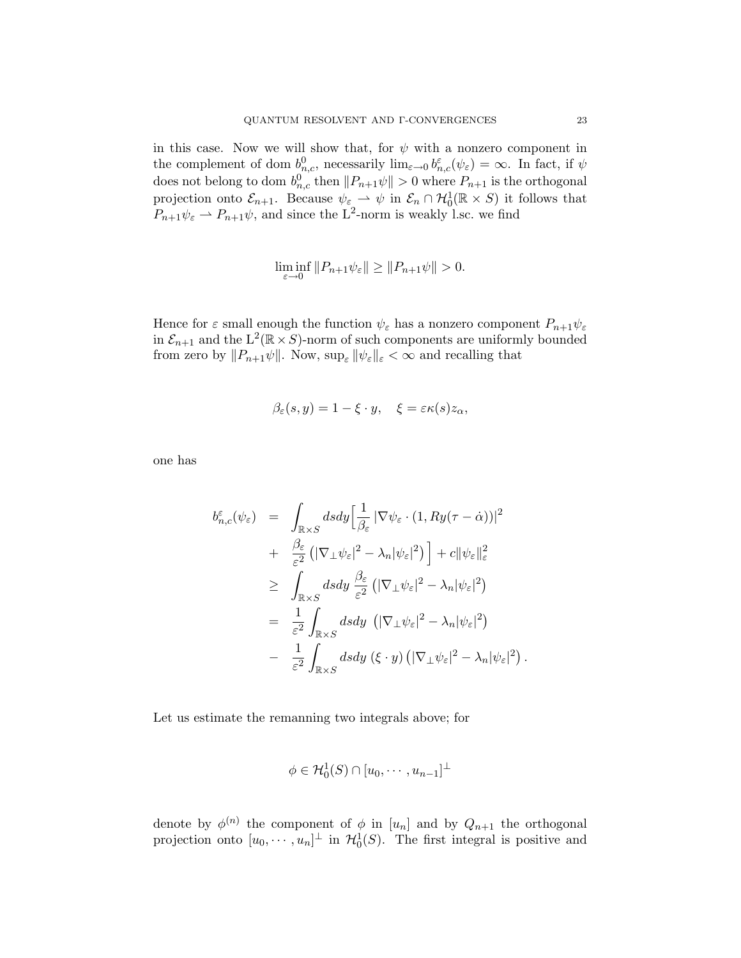in this case. Now we will show that, for  $\psi$  with a nonzero component in the complement of dom  $b_{n,c}^0$ , necessarily  $\lim_{\varepsilon\to 0} b_{n,c}^{\varepsilon}(\psi_{\varepsilon}) = \infty$ . In fact, if  $\psi$ does not belong to dom  $b_{n,c}^0$  then  $||P_{n+1}\psi|| > 0$  where  $P_{n+1}$  is the orthogonal projection onto  $\mathcal{E}_{n+1}$ . Because  $\psi_{\varepsilon} \to \psi$  in  $\mathcal{E}_n \cap \mathcal{H}_0^1(\mathbb{R} \times S)$  it follows that  $P_{n+1}\psi_{\varepsilon} \rightharpoonup P_{n+1}\psi$ , and since the L<sup>2</sup>-norm is weakly l.sc. we find

$$
\liminf_{\varepsilon \to 0} ||P_{n+1}\psi_{\varepsilon}|| \ge ||P_{n+1}\psi|| > 0.
$$

Hence for  $\varepsilon$  small enough the function  $\psi_{\varepsilon}$  has a nonzero component  $P_{n+1}\psi_{\varepsilon}$ in  $\mathcal{E}_{n+1}$  and the  $L^2(\mathbb{R} \times S)$ -norm of such components are uniformly bounded from zero by  $||P_{n+1}\psi||$ . Now,  $\sup_{\varepsilon} ||\psi_{\varepsilon}||_{\varepsilon} < \infty$  and recalling that

$$
\beta_{\varepsilon}(s,y) = 1 - \xi \cdot y, \quad \xi = \varepsilon \kappa(s) z_{\alpha},
$$

one has

$$
b_{n,c}^{\varepsilon}(\psi_{\varepsilon}) = \int_{\mathbb{R}\times S} ds dy \Big[ \frac{1}{\beta_{\varepsilon}} |\nabla \psi_{\varepsilon} \cdot (1, Ry(\tau - \dot{\alpha}))|^2 + \frac{\beta_{\varepsilon}}{\varepsilon^2} (|\nabla_{\perp} \psi_{\varepsilon}|^2 - \lambda_n |\psi_{\varepsilon}|^2) \Big] + c ||\psi_{\varepsilon}||_{\varepsilon}^2 \geq \int_{\mathbb{R}\times S} ds dy \frac{\beta_{\varepsilon}}{\varepsilon^2} (|\nabla_{\perp} \psi_{\varepsilon}|^2 - \lambda_n |\psi_{\varepsilon}|^2) = \frac{1}{\varepsilon^2} \int_{\mathbb{R}\times S} ds dy (|\nabla_{\perp} \psi_{\varepsilon}|^2 - \lambda_n |\psi_{\varepsilon}|^2) - \frac{1}{\varepsilon^2} \int_{\mathbb{R}\times S} ds dy (\xi \cdot y) (|\nabla_{\perp} \psi_{\varepsilon}|^2 - \lambda_n |\psi_{\varepsilon}|^2).
$$

Let us estimate the remanning two integrals above; for

$$
\phi \in \mathcal{H}_0^1(S) \cap [u_0, \cdots, u_{n-1}]^{\perp}
$$

denote by  $\phi^{(n)}$  the component of  $\phi$  in  $[u_n]$  and by  $Q_{n+1}$  the orthogonal projection onto  $[u_0, \dots, u_n]^\perp$  in  $\mathcal{H}_0^1(S)$ . The first integral is positive and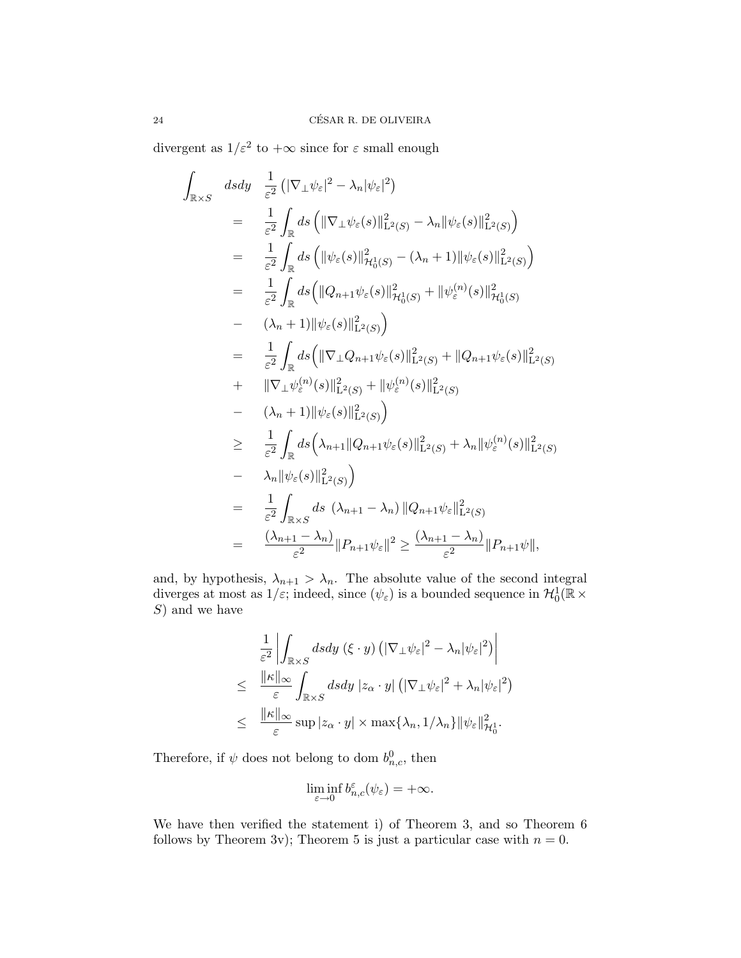divergent as  $1/\varepsilon^2$  to  $+\infty$  since for  $\varepsilon$  small enough

$$
\int_{\mathbb{R}\times S} dsdy = \frac{1}{\varepsilon^2} \left( |\nabla_{\perp}\psi_{\varepsilon}|^2 - \lambda_n |\psi_{\varepsilon}|^2 \right)
$$
  
\n
$$
= \frac{1}{\varepsilon^2} \int_{\mathbb{R}} ds \left( \|\nabla_{\perp}\psi_{\varepsilon}(s)\|_{\mathbf{L}^2(S)}^2 - \lambda_n |\psi_{\varepsilon}(s)\|_{\mathbf{L}^2(S)}^2 \right)
$$
  
\n
$$
= \frac{1}{\varepsilon^2} \int_{\mathbb{R}} ds \left( \|\psi_{\varepsilon}(s)\|_{\mathcal{H}_0^1(S)}^2 - (\lambda_n + 1) \|\psi_{\varepsilon}(s)\|_{\mathbf{L}^2(S)}^2 \right)
$$
  
\n
$$
= \frac{1}{\varepsilon^2} \int_{\mathbb{R}} ds \left( \|\mathbf{Q}_{n+1}\psi_{\varepsilon}(s)\|_{\mathcal{H}_0^1(S)}^2 + \|\psi_{\varepsilon}^{(n)}(s)\|_{\mathcal{H}_0^1(S)}^2 \right)
$$
  
\n
$$
- (\lambda_n + 1) \|\psi_{\varepsilon}(s)\|_{\mathbf{L}^2(S)}^2 \right)
$$
  
\n
$$
+ \|\nabla_{\perp}\psi_{\varepsilon}^{(n)}(s)\|_{\mathbf{L}^2(S)}^2 + \|\psi_{\varepsilon}^{(n)}(s)\|_{\mathbf{L}^2(S)}^2
$$
  
\n
$$
+ \|\nabla_{\perp}\psi_{\varepsilon}^{(n)}(s)\|_{\mathbf{L}^2(S)}^2 \right)
$$
  
\n
$$
- (\lambda_n + 1) \|\psi_{\varepsilon}(s)\|_{\mathbf{L}^2(S)}^2
$$
  
\n
$$
- (\lambda_n + 1) \|\psi_{\varepsilon}(s)\|_{\mathbf{L}^2(S)}^2
$$
  
\n
$$
- \lambda_n \|\psi_{\varepsilon}(s)\|_{\mathbf{L}^2(S)}^2
$$
  
\n
$$
- \lambda_n \|\psi_{\varepsilon}(s)\|_{\mathbf{L}^2(S)}^2
$$
  
\n
$$
- \lambda_n \|\psi_{\varepsilon}(s)\|_{\mathbf{L}
$$

and, by hypothesis,  $\lambda_{n+1} > \lambda_n$ . The absolute value of the second integral diverges at most as  $1/\varepsilon$ ; indeed, since  $(\psi_{\varepsilon})$  is a bounded sequence in  $\mathcal{H}_0^1(\mathbb{R} \times$  $S$ ) and we have

$$
\frac{1}{\varepsilon^2} \left| \int_{\mathbb{R} \times S} ds dy \, (\xi \cdot y) \left( |\nabla_{\perp} \psi_{\varepsilon}|^2 - \lambda_n |\psi_{\varepsilon}|^2 \right) \right|
$$
\n
$$
\leq \frac{\|\kappa\|_{\infty}}{\varepsilon} \int_{\mathbb{R} \times S} ds dy \, |z_{\alpha} \cdot y| \left( |\nabla_{\perp} \psi_{\varepsilon}|^2 + \lambda_n |\psi_{\varepsilon}|^2 \right)
$$
\n
$$
\leq \frac{\|\kappa\|_{\infty}}{\varepsilon} \sup |z_{\alpha} \cdot y| \times \max \{\lambda_n, 1/\lambda_n\} \|\psi_{\varepsilon}\|_{\mathcal{H}_0^1}^2.
$$

Therefore, if  $\psi$  does not belong to dom  $b_{n,c}^0$ , then

$$
\liminf_{\varepsilon \to 0} b_{n,c}^{\varepsilon}(\psi_{\varepsilon}) = +\infty.
$$

We have then verified the statement i) of Theorem 3, and so Theorem 6 follows by Theorem 3v); Theorem 5 is just a particular case with  $n = 0$ .

Z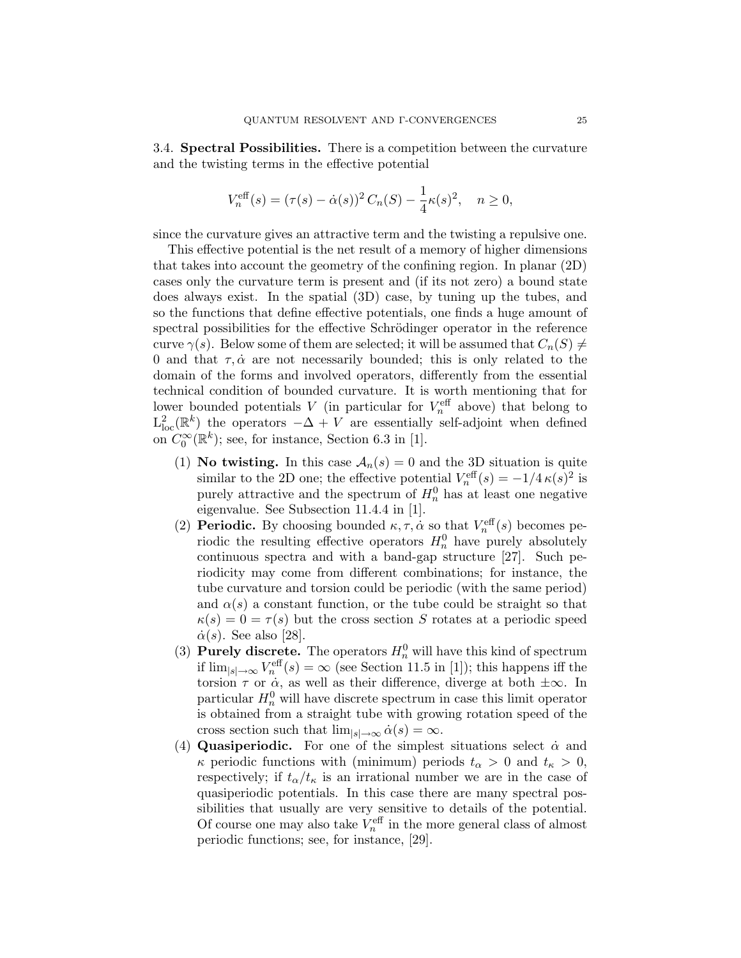3.4. Spectral Possibilities. There is a competition between the curvature and the twisting terms in the effective potential

$$
V_n^{\text{eff}}(s) = (\tau(s) - \dot{\alpha}(s))^2 C_n(S) - \frac{1}{4}\kappa(s)^2, \quad n \ge 0,
$$

since the curvature gives an attractive term and the twisting a repulsive one.

This effective potential is the net result of a memory of higher dimensions that takes into account the geometry of the confining region. In planar (2D) cases only the curvature term is present and (if its not zero) a bound state does always exist. In the spatial (3D) case, by tuning up the tubes, and so the functions that define effective potentials, one finds a huge amount of spectral possibilities for the effective Schrödinger operator in the reference curve  $\gamma(s)$ . Below some of them are selected; it will be assumed that  $C_n(S) \neq$ 0 and that  $\tau, \dot{\alpha}$  are not necessarily bounded; this is only related to the domain of the forms and involved operators, differently from the essential technical condition of bounded curvature. It is worth mentioning that for lower bounded potentials V (in particular for  $V_n^{\text{eff}}$  above) that belong to  $L^2_{loc}(\mathbb{R}^k)$  the operators  $-\Delta + V$  are essentially self-adjoint when defined on  $C_0^{\infty}(\mathbb{R}^k)$ ; see, for instance, Section 6.3 in [1].

- (1) No twisting. In this case  $A_n(s) = 0$  and the 3D situation is quite similar to the 2D one; the effective potential  $V_n^{\text{eff}}(s) = -1/4 \kappa(s)^2$  is purely attractive and the spectrum of  $H_n^0$  has at least one negative eigenvalue. See Subsection 11.4.4 in [1].
- (2) **Periodic.** By choosing bounded  $\kappa, \tau, \dot{\alpha}$  so that  $V_n^{\text{eff}}(s)$  becomes periodic the resulting effective operators  $H_n^0$  have purely absolutely continuous spectra and with a band-gap structure [27]. Such periodicity may come from different combinations; for instance, the tube curvature and torsion could be periodic (with the same period) and  $\alpha(s)$  a constant function, or the tube could be straight so that  $\kappa(s) = 0 = \tau(s)$  but the cross section S rotates at a periodic speed  $\dot{\alpha}(s)$ . See also [28].
- (3) **Purely discrete.** The operators  $H_n^0$  will have this kind of spectrum if  $\lim_{|s|\to\infty} V_n^{\text{eff}}(s) = \infty$  (see Section 11.5 in [1]); this happens iff the torsion  $\tau$  or  $\dot{\alpha}$ , as well as their difference, diverge at both  $\pm\infty$ . In particular  $H_n^0$  will have discrete spectrum in case this limit operator is obtained from a straight tube with growing rotation speed of the cross section such that  $\lim_{|s| \to \infty} \dot{\alpha}(s) = \infty$ .
- (4) Quasiperiodic. For one of the simplest situations select  $\dot{\alpha}$  and  $\kappa$  periodic functions with (minimum) periods  $t_{\alpha} > 0$  and  $t_{\kappa} > 0$ , respectively; if  $t_{\alpha}/t_{\kappa}$  is an irrational number we are in the case of quasiperiodic potentials. In this case there are many spectral possibilities that usually are very sensitive to details of the potential. Of course one may also take  $V_n^{\text{eff}}$  in the more general class of almost periodic functions; see, for instance, [29].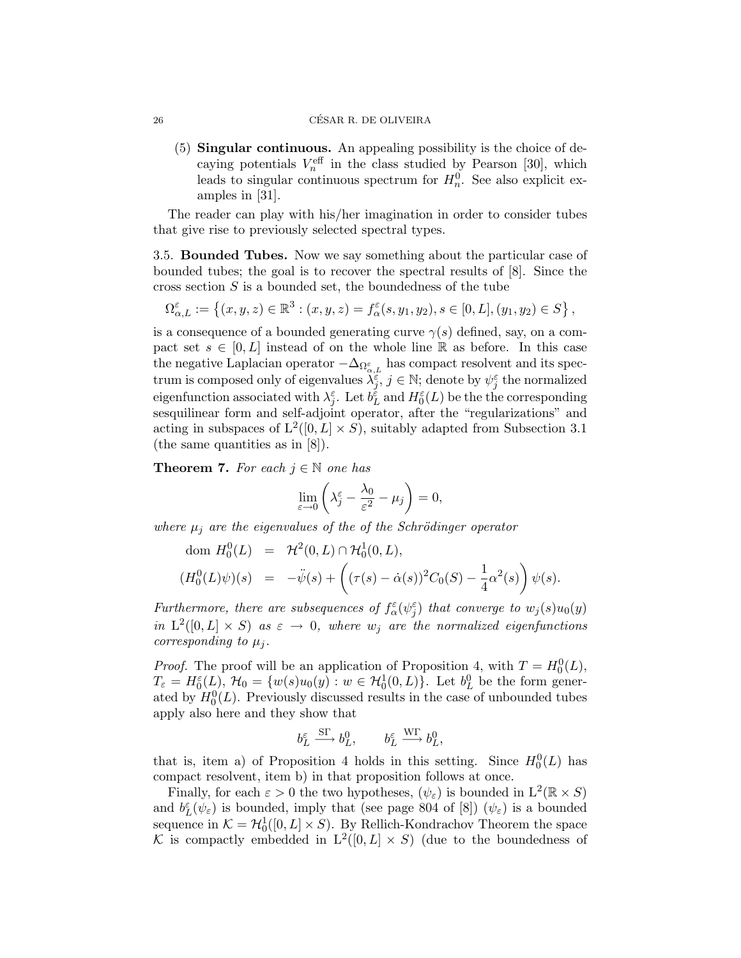(5) Singular continuous. An appealing possibility is the choice of decaying potentials  $V_n^{\text{eff}}$  in the class studied by Pearson [30], which leads to singular continuous spectrum for  $H_n^0$ . See also explicit examples in [31].

The reader can play with his/her imagination in order to consider tubes that give rise to previously selected spectral types.

3.5. Bounded Tubes. Now we say something about the particular case of bounded tubes; the goal is to recover the spectral results of [8]. Since the cross section  $S$  is a bounded set, the boundedness of the tube

 $\Omega_{\alpha,L}^{\varepsilon} := \left\{ (x, y, z) \in \mathbb{R}^3 : (x, y, z) = f_{\alpha}^{\varepsilon}(s, y_1, y_2), s \in [0, L], (y_1, y_2) \in S \right\},\$ 

is a consequence of a bounded generating curve  $\gamma(s)$  defined, say, on a compact set  $s \in [0, L]$  instead of on the whole line R as before. In this case the negative Laplacian operator  $-\Delta_{\Omega_{\alpha,L}^\varepsilon}$  has compact resolvent and its spectrum is composed only of eigenvalues  $\lambda_j^{\varepsilon}$ ,  $j \in \mathbb{N}$ ; denote by  $\psi_j^{\varepsilon}$  the normalized eigenfunction associated with  $\lambda_j^{\varepsilon}$ . Let  $b_L^{\varepsilon}$  and  $H_0^{\varepsilon}(L)$  be the the corresponding sesquilinear form and self-adjoint operator, after the "regularizations" and acting in subspaces of  $L^2([0, L] \times S)$ , suitably adapted from Subsection 3.1 (the same quantities as in [8]).

**Theorem 7.** For each  $j \in \mathbb{N}$  one has

$$
\lim_{\varepsilon \to 0} \left( \lambda_j^{\varepsilon} - \frac{\lambda_0}{\varepsilon^2} - \mu_j \right) = 0,
$$

where  $\mu_j$  are the eigenvalues of the of the Schrödinger operator

dom 
$$
H_0^0(L) = \mathcal{H}^2(0, L) \cap \mathcal{H}_0^1(0, L),
$$
  
\n $(H_0^0(L)\psi)(s) = -\ddot{\psi}(s) + ((\tau(s) - \dot{\alpha}(s))^2 C_0(S) - \frac{1}{4}\alpha^2(s)) \psi(s).$ 

Furthermore, there are subsequences of  $f_{\alpha}^{\varepsilon}(\psi_{j}^{\varepsilon})$  that converge to  $w_{j}(s)u_{0}(y)$ in  $L^2([0,L] \times S)$  as  $\varepsilon \to 0$ , where  $w_j$  are the normalized eigenfunctions corresponding to  $\mu_i$ .

*Proof.* The proof will be an application of Proposition 4, with  $T = H_0^0(L)$ ,  $T_{\varepsilon} = H_0^{\varepsilon}(L)$ ,  $\mathcal{H}_0 = \{w(s)u_0(y) : w \in \mathcal{H}_0^1(0,L)\}$ . Let  $b_L^0$  be the form generated by  $H_0^0(L)$ . Previously discussed results in the case of unbounded tubes apply also here and they show that

$$
b_L^{\varepsilon} \xrightarrow{\text{ST}} b_L^0, \qquad b_L^{\varepsilon} \xrightarrow{\text{WT}} b_L^0,
$$

that is, item a) of Proposition 4 holds in this setting. Since  $H_0^0(L)$  has compact resolvent, item b) in that proposition follows at once.

Finally, for each  $\varepsilon > 0$  the two hypotheses,  $(\psi_{\varepsilon})$  is bounded in  $L^2(\mathbb{R} \times S)$ and  $b_{L}^{\varepsilon}(\psi_{\varepsilon})$  is bounded, imply that (see page 804 of [8])  $(\psi_{\varepsilon})$  is a bounded sequence in  $\mathcal{K} = \mathcal{H}_0^1([0, L] \times S)$ . By Rellich-Kondrachov Theorem the space K is compactly embedded in  $L^2([0,L] \times S)$  (due to the boundedness of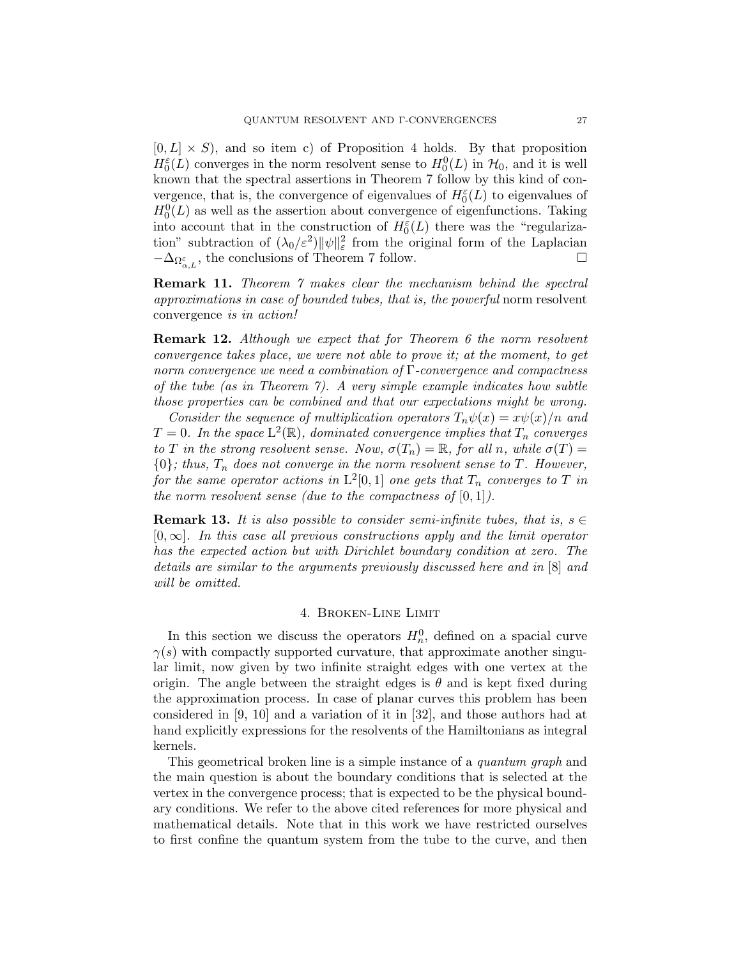$[0, L] \times S$ , and so item c) of Proposition 4 holds. By that proposition  $H_0^{\varepsilon}(L)$  converges in the norm resolvent sense to  $H_0^0(L)$  in  $\mathcal{H}_0$ , and it is well known that the spectral assertions in Theorem 7 follow by this kind of convergence, that is, the convergence of eigenvalues of  $H_0^{\varepsilon}(L)$  to eigenvalues of  $H_0^0(L)$  as well as the assertion about convergence of eigenfunctions. Taking into account that in the construction of  $H_0^{\varepsilon}(L)$  there was the "regularization" subtraction of  $(\lambda_0/\varepsilon^2) ||\psi||^2_{\varepsilon}$  from the original form of the Laplacian  $-\Delta_{\Omega_{\alpha,L}^{\varepsilon}}$ , the conclusions of Theorem 7 follow.

Remark 11. Theorem 7 makes clear the mechanism behind the spectral approximations in case of bounded tubes, that is, the powerful norm resolvent convergence is in action!

**Remark 12.** Although we expect that for Theorem 6 the norm resolvent convergence takes place, we were not able to prove it; at the moment, to get norm convergence we need a combination of Γ-convergence and compactness of the tube (as in Theorem 7). A very simple example indicates how subtle those properties can be combined and that our expectations might be wrong.

Consider the sequence of multiplication operators  $T_n\psi(x) = x\psi(x)/n$  and  $T=0$ . In the space  $\mathrm{L}^2(\mathbb{R})$ , dominated convergence implies that  $T_n$  converges to T in the strong resolvent sense. Now,  $\sigma(T_n) = \mathbb{R}$ , for all n, while  $\sigma(T) =$  ${0}$ ; thus,  $T_n$  does not converge in the norm resolvent sense to T. However, for the same operator actions in  $\mathrm{L}^2[0,1]$  one gets that  $T_n$  converges to  $T$  in the norm resolvent sense (due to the compactness of  $[0, 1]$ ).

**Remark 13.** It is also possible to consider semi-infinite tubes, that is,  $s \in$  $[0, \infty]$ . In this case all previous constructions apply and the limit operator has the expected action but with Dirichlet boundary condition at zero. The details are similar to the arguments previously discussed here and in [8] and will be omitted.

### 4. Broken-Line Limit

In this section we discuss the operators  $H_n^0$ , defined on a spacial curve  $\gamma(s)$  with compactly supported curvature, that approximate another singular limit, now given by two infinite straight edges with one vertex at the origin. The angle between the straight edges is  $\theta$  and is kept fixed during the approximation process. In case of planar curves this problem has been considered in [9, 10] and a variation of it in [32], and those authors had at hand explicitly expressions for the resolvents of the Hamiltonians as integral kernels.

This geometrical broken line is a simple instance of a *quantum graph* and the main question is about the boundary conditions that is selected at the vertex in the convergence process; that is expected to be the physical boundary conditions. We refer to the above cited references for more physical and mathematical details. Note that in this work we have restricted ourselves to first confine the quantum system from the tube to the curve, and then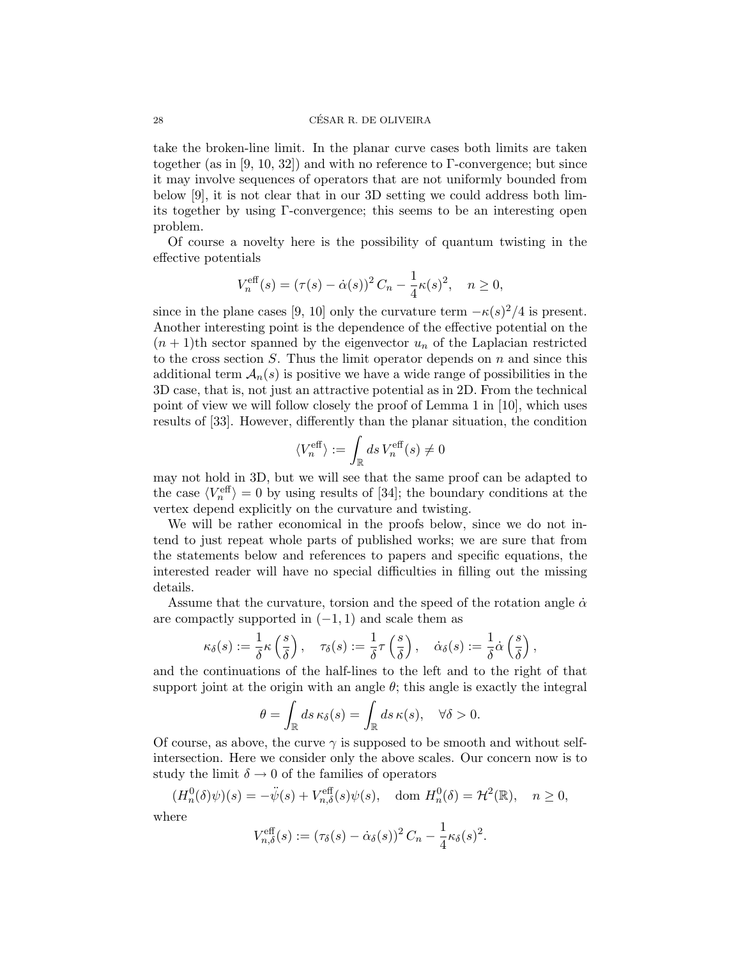#### 28 CESAR R. DE OLIVEIRA ´

take the broken-line limit. In the planar curve cases both limits are taken together (as in [9, 10, 32]) and with no reference to  $\Gamma$ -convergence; but since it may involve sequences of operators that are not uniformly bounded from below [9], it is not clear that in our 3D setting we could address both limits together by using Γ-convergence; this seems to be an interesting open problem.

Of course a novelty here is the possibility of quantum twisting in the effective potentials

$$
V_n^{\text{eff}}(s) = (\tau(s) - \dot{\alpha}(s))^2 C_n - \frac{1}{4} \kappa(s)^2, \quad n \ge 0,
$$

since in the plane cases [9, 10] only the curvature term  $-\kappa(s)^2/4$  is present. Another interesting point is the dependence of the effective potential on the  $(n + 1)$ th sector spanned by the eigenvector  $u_n$  of the Laplacian restricted to the cross section  $S$ . Thus the limit operator depends on  $n$  and since this additional term  $\mathcal{A}_n(s)$  is positive we have a wide range of possibilities in the 3D case, that is, not just an attractive potential as in 2D. From the technical point of view we will follow closely the proof of Lemma 1 in [10], which uses results of [33]. However, differently than the planar situation, the condition

$$
\langle V^{\text{eff}}_n \rangle := \int_{\mathbb{R}} ds \, V^{\text{eff}}_n (s) \neq 0
$$

may not hold in 3D, but we will see that the same proof can be adapted to the case  $\langle V_n^{\text{eff}} \rangle = 0$  by using results of [34]; the boundary conditions at the vertex depend explicitly on the curvature and twisting.

We will be rather economical in the proofs below, since we do not intend to just repeat whole parts of published works; we are sure that from the statements below and references to papers and specific equations, the interested reader will have no special difficulties in filling out the missing details.

Assume that the curvature, torsion and the speed of the rotation angle  $\dot{\alpha}$ are compactly supported in  $(-1, 1)$  and scale them as

$$
\kappa_\delta(s) := \frac{1}{\delta} \kappa\left(\frac{s}{\delta}\right), \quad \tau_\delta(s) := \frac{1}{\delta} \tau\left(\frac{s}{\delta}\right), \quad \dot{\alpha}_\delta(s) := \frac{1}{\delta} \dot{\alpha}\left(\frac{s}{\delta}\right),
$$

and the continuations of the half-lines to the left and to the right of that support joint at the origin with an angle  $\theta$ ; this angle is exactly the integral

$$
\theta = \int_{\mathbb{R}} ds \, \kappa_{\delta}(s) = \int_{\mathbb{R}} ds \, \kappa(s), \quad \forall \delta > 0.
$$

Of course, as above, the curve  $\gamma$  is supposed to be smooth and without selfintersection. Here we consider only the above scales. Our concern now is to study the limit  $\delta \to 0$  of the families of operators

$$
(H_n^0(\delta)\psi)(s) = -\ddot{\psi}(s) + V_{n,\delta}^{\text{eff}}(s)\psi(s), \quad \text{dom } H_n^0(\delta) = \mathcal{H}^2(\mathbb{R}), \quad n \ge 0,
$$

where

$$
V_{n,\delta}^{\text{eff}}(s) := (\tau_{\delta}(s) - \dot{\alpha}_{\delta}(s))^2 C_n - \frac{1}{4} \kappa_{\delta}(s)^2.
$$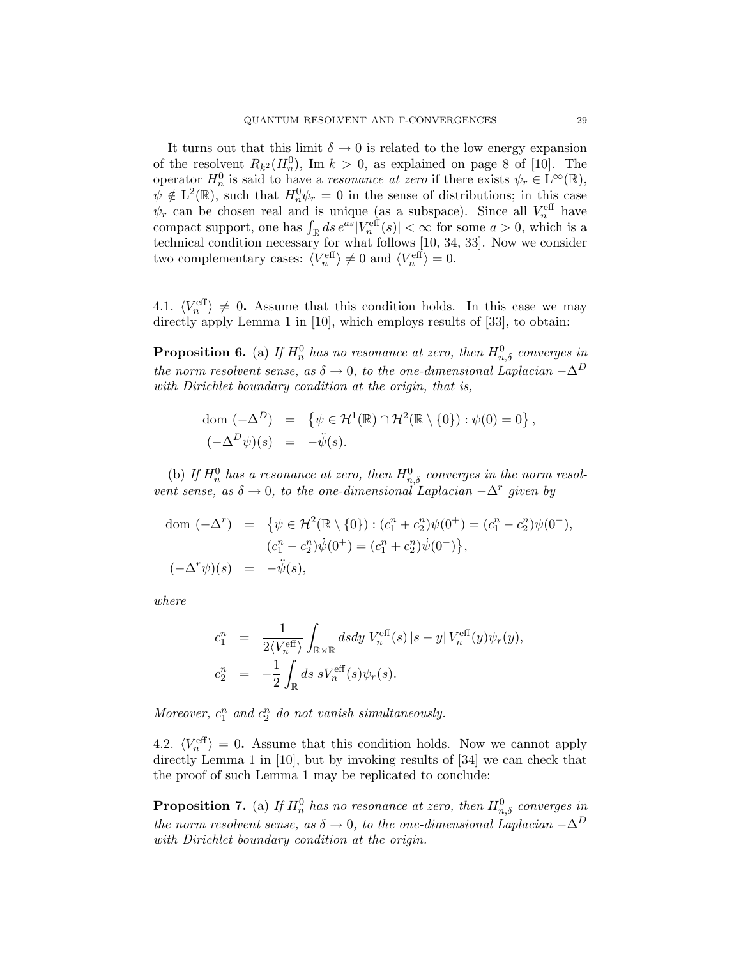It turns out that this limit  $\delta \to 0$  is related to the low energy expansion of the resolvent  $R_{k^2}(H_n^0)$ , Im  $k > 0$ , as explained on page 8 of [10]. The operator  $H_n^0$  is said to have a *resonance at zero* if there exists  $\psi_r \in L^\infty(\mathbb{R}),$  $\psi \notin L^2(\mathbb{R})$ , such that  $H_n^0\psi_r = 0$  in the sense of distributions; in this case  $\psi_r$  can be chosen real and is unique (as a subspace). Since all  $V_n^{\text{eff}}$  have compact support, one has  $\int_{\mathbb{R}} ds e^{as} |V_n^{\text{eff}}(s)| < \infty$  for some  $a > 0$ , which is a technical condition necessary for what follows [10, 34, 33]. Now we consider two complementary cases:  $\langle V_n^{\text{eff}} \rangle \neq 0$  and  $\langle V_n^{\text{eff}} \rangle = 0$ .

4.1.  $\langle V_n^{\text{eff}} \rangle \neq 0$ . Assume that this condition holds. In this case we may directly apply Lemma 1 in [10], which employs results of [33], to obtain:

**Proposition 6.** (a) If  $H_n^0$  has no resonance at zero, then  $H_{n,\delta}^0$  converges in the norm resolvent sense, as  $\delta \to 0$ , to the one-dimensional Laplacian  $-\Delta^D$ with Dirichlet boundary condition at the origin, that is,

dom 
$$
(-\Delta^D)
$$
 = { $\psi \in H^1(\mathbb{R}) \cap H^2(\mathbb{R} \setminus \{0\}) : \psi(0) = 0$ },  
 $(-\Delta^D \psi)(s) = -\ddot{\psi}(s).$ 

(b) If  $H_n^0$  has a resonance at zero, then  $H_{n,\delta}^0$  converges in the norm resolvent sense, as  $\delta \to 0$ , to the one-dimensional Laplacian  $-\Delta^r$  given by

dom 
$$
(-\Delta^r)
$$
 = { $\psi \in \mathcal{H}^2(\mathbb{R} \setminus \{0\}) : (c_1^n + c_2^n)\psi(0^+) = (c_1^n - c_2^n)\psi(0^-),$   
\n $(c_1^n - c_2^n)\psi(0^+) = (c_1^n + c_2^n)\psi(0^-),$   
\n $(-\Delta^r\psi)(s) = -\psi(s),$ 

where

$$
c_1^n = \frac{1}{2\langle V_n^{\text{eff}} \rangle} \int_{\mathbb{R} \times \mathbb{R}} ds dy V_n^{\text{eff}}(s) |s - y| V_n^{\text{eff}}(y) \psi_r(y),
$$
  

$$
c_2^n = -\frac{1}{2} \int_{\mathbb{R}} ds \ s V_n^{\text{eff}}(s) \psi_r(s).
$$

Moreover,  $c_1^n$  and  $c_2^n$  do not vanish simultaneously.

4.2.  $\langle V_n^{\text{eff}} \rangle = 0$ . Assume that this condition holds. Now we cannot apply directly Lemma 1 in [10], but by invoking results of [34] we can check that the proof of such Lemma 1 may be replicated to conclude:

**Proposition 7.** (a) If  $H_n^0$  has no resonance at zero, then  $H_{n,\delta}^0$  converges in the norm resolvent sense, as  $\delta \to 0$ , to the one-dimensional Laplacian  $-\Delta^D$ with Dirichlet boundary condition at the origin.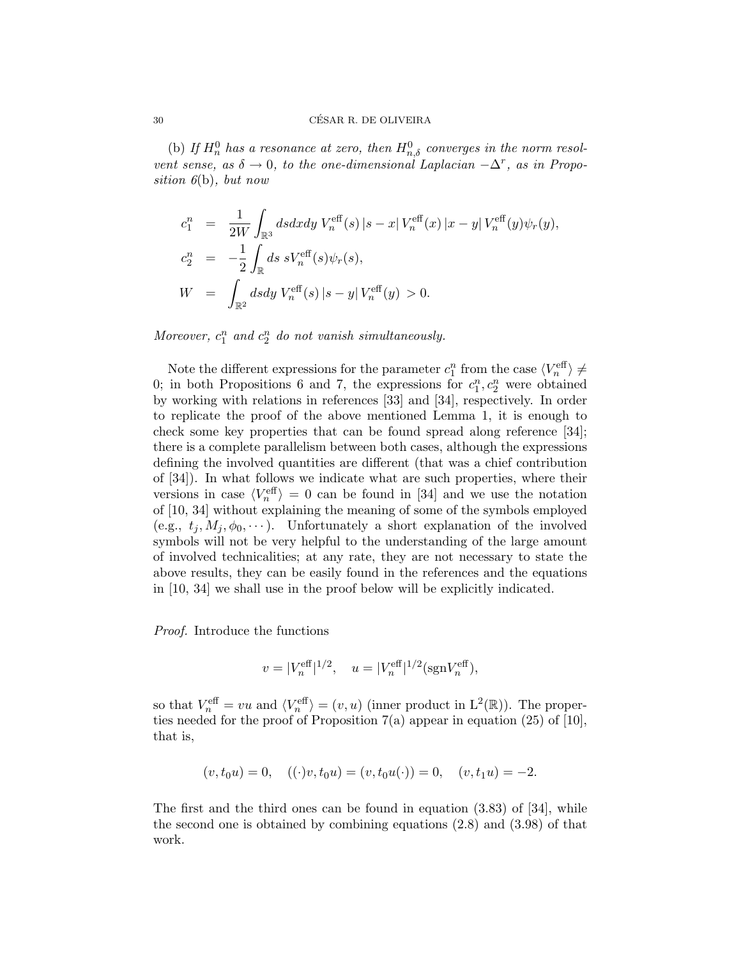(b) If  $H_n^0$  has a resonance at zero, then  $H_{n,\delta}^0$  converges in the norm resolvent sense, as  $\delta \to 0$ , to the one-dimensional Laplacian  $-\Delta^r$ , as in Proposition  $6(b)$ , but now

$$
c_1^n = \frac{1}{2W} \int_{\mathbb{R}^3} ds dx dy V_n^{\text{eff}}(s) |s - x| V_n^{\text{eff}}(x) |x - y| V_n^{\text{eff}}(y) \psi_r(y),
$$
  
\n
$$
c_2^n = -\frac{1}{2} \int_{\mathbb{R}} ds \ s V_n^{\text{eff}}(s) \psi_r(s),
$$
  
\n
$$
W = \int_{\mathbb{R}^2} ds dy V_n^{\text{eff}}(s) |s - y| V_n^{\text{eff}}(y) > 0.
$$

Moreover,  $c_1^n$  and  $c_2^n$  do not vanish simultaneously.

Note the different expressions for the parameter  $c_1^n$  from the case  $\langle V^{\text{eff}}_n \rangle \neq$ 0; in both Propositions 6 and 7, the expressions for  $c_1^n, c_2^n$  were obtained by working with relations in references [33] and [34], respectively. In order to replicate the proof of the above mentioned Lemma 1, it is enough to check some key properties that can be found spread along reference [34]; there is a complete parallelism between both cases, although the expressions defining the involved quantities are different (that was a chief contribution of [34]). In what follows we indicate what are such properties, where their versions in case  $\langle V_n^{\text{eff}} \rangle = 0$  can be found in [34] and we use the notation of [10, 34] without explaining the meaning of some of the symbols employed (e.g.,  $t_i, M_i, \phi_0, \cdots$ ). Unfortunately a short explanation of the involved symbols will not be very helpful to the understanding of the large amount of involved technicalities; at any rate, they are not necessary to state the above results, they can be easily found in the references and the equations in [10, 34] we shall use in the proof below will be explicitly indicated.

Proof. Introduce the functions

$$
v = |V_n^{\text{eff}}|^{1/2}, \quad u = |V_n^{\text{eff}}|^{1/2} (\text{sgn} V_n^{\text{eff}}),
$$

so that  $V_n^{\text{eff}} = vu$  and  $\langle V_n^{\text{eff}} \rangle = (v, u)$  (inner product in  $\mathcal{L}^2(\mathbb{R})$ ). The properties needed for the proof of Proposition  $7(a)$  appear in equation (25) of [10], that is,

$$
(v, t_0 u) = 0, \quad ((\cdot)v, t_0 u) = (v, t_0 u(\cdot)) = 0, \quad (v, t_1 u) = -2.
$$

The first and the third ones can be found in equation (3.83) of [34], while the second one is obtained by combining equations (2.8) and (3.98) of that work.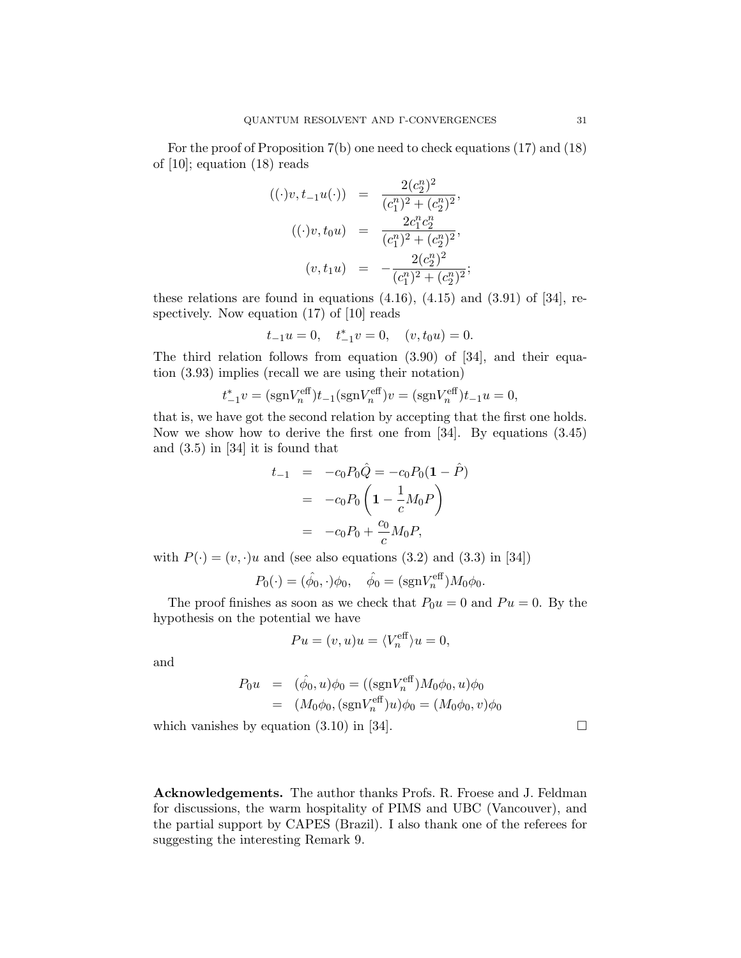For the proof of Proposition 7(b) one need to check equations (17) and (18) of [10]; equation (18) reads

$$
((\cdot)v, t_{-1}u(\cdot)) = \frac{2(c_2^n)^2}{(c_1^n)^2 + (c_2^n)^2},
$$
  

$$
((\cdot)v, t_0u) = \frac{2c_1^n c_2^n}{(c_1^n)^2 + (c_2^n)^2},
$$
  

$$
(v, t_1u) = -\frac{2(c_2^n)^2}{(c_1^n)^2 + (c_2^n)^2};
$$

these relations are found in equations  $(4.16)$ ,  $(4.15)$  and  $(3.91)$  of  $[34]$ , respectively. Now equation (17) of [10] reads

$$
t_{-1}u = 0
$$
,  $t_{-1}^*v = 0$ ,  $(v, t_0u) = 0$ .

The third relation follows from equation (3.90) of [34], and their equation (3.93) implies (recall we are using their notation)

$$
t_{-1}^* v = (\text{sgn} V_n^{\text{eff}}) t_{-1} (\text{sgn} V_n^{\text{eff}}) v = (\text{sgn} V_n^{\text{eff}}) t_{-1} u = 0,
$$

that is, we have got the second relation by accepting that the first one holds. Now we show how to derive the first one from [34]. By equations (3.45) and (3.5) in [34] it is found that

$$
t_{-1} = -c_0 P_0 \hat{Q} = -c_0 P_0 (1 - \hat{P})
$$
  
= -c\_0 P\_0 \left( 1 - \frac{1}{c} M\_0 P \right)  
= -c\_0 P\_0 + \frac{c\_0}{c} M\_0 P,

with  $P(\cdot) = (v, \cdot)u$  and (see also equations (3.2) and (3.3) in [34])

$$
P_0(\cdot) = (\hat{\phi}_0, \cdot)\phi_0, \quad \hat{\phi}_0 = (\text{sgn}V_n^{\text{eff}})M_0\phi_0.
$$

The proof finishes as soon as we check that  $P_0u = 0$  and  $Pu = 0$ . By the hypothesis on the potential we have

$$
Pu = (v, u)u = \langle V_n^{\text{eff}} \rangle u = 0,
$$

and

$$
P_0 u = (\hat{\phi}_0, u)\phi_0 = ((\text{sgn}V_n^{\text{eff}})M_0\phi_0, u)\phi_0
$$
  
=  $(M_0\phi_0, (\text{sgn}V_n^{\text{eff}})u)\phi_0 = (M_0\phi_0, v)\phi_0$ 

which vanishes by equation  $(3.10)$  in [34].

Acknowledgements. The author thanks Profs. R. Froese and J. Feldman for discussions, the warm hospitality of PIMS and UBC (Vancouver), and the partial support by CAPES (Brazil). I also thank one of the referees for suggesting the interesting Remark 9.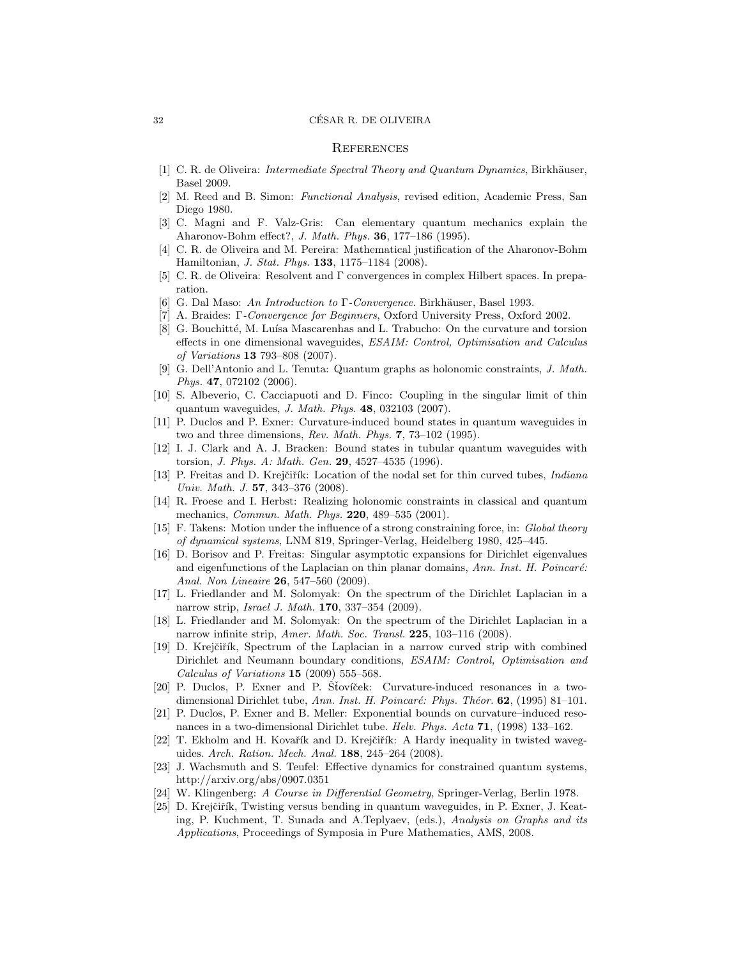#### 32 CESAR R. DE OLIVEIRA ´

#### **REFERENCES**

- [1] C. R. de Oliveira: *Intermediate Spectral Theory and Quantum Dynamics*, Birkhäuser, Basel 2009.
- [2] M. Reed and B. Simon: Functional Analysis, revised edition, Academic Press, San Diego 1980.
- [3] C. Magni and F. Valz-Gris: Can elementary quantum mechanics explain the Aharonov-Bohm effect?, J. Math. Phys. 36, 177–186 (1995).
- [4] C. R. de Oliveira and M. Pereira: Mathematical justification of the Aharonov-Bohm Hamiltonian, J. Stat. Phys. 133, 1175–1184 (2008).
- [5] C. R. de Oliveira: Resolvent and Γ convergences in complex Hilbert spaces. In preparation.
- [6] G. Dal Maso: An Introduction to  $\Gamma$ -Convergence. Birkhäuser, Basel 1993.
- [7] A. Braides: Γ-Convergence for Beginners, Oxford University Press, Oxford 2002.
- [8] G. Bouchitté, M. Luísa Mascarenhas and L. Trabucho: On the curvature and torsion effects in one dimensional waveguides, ESAIM: Control, Optimisation and Calculus of Variations 13 793–808 (2007).
- [9] G. Dell'Antonio and L. Tenuta: Quantum graphs as holonomic constraints, J. Math. Phys. 47, 072102 (2006).
- [10] S. Albeverio, C. Cacciapuoti and D. Finco: Coupling in the singular limit of thin quantum waveguides, J. Math. Phys. 48, 032103 (2007).
- [11] P. Duclos and P. Exner: Curvature-induced bound states in quantum waveguides in two and three dimensions, Rev. Math. Phys. 7, 73–102 (1995).
- [12] I. J. Clark and A. J. Bracken: Bound states in tubular quantum waveguides with torsion, J. Phys. A: Math. Gen. 29, 4527–4535 (1996).
- [13] P. Freitas and D. Krejčiřík: Location of the nodal set for thin curved tubes, *Indiana* Univ. Math. J. 57, 343–376 (2008).
- [14] R. Froese and I. Herbst: Realizing holonomic constraints in classical and quantum mechanics, Commun. Math. Phys. 220, 489–535 (2001).
- [15] F. Takens: Motion under the influence of a strong constraining force, in: Global theory of dynamical systems, LNM 819, Springer-Verlag, Heidelberg 1980, 425–445.
- [16] D. Borisov and P. Freitas: Singular asymptotic expansions for Dirichlet eigenvalues and eigenfunctions of the Laplacian on thin planar domains, Ann. Inst. H. Poincaré: Anal. Non Lineaire 26, 547–560 (2009).
- [17] L. Friedlander and M. Solomyak: On the spectrum of the Dirichlet Laplacian in a narrow strip, Israel J. Math. 170, 337–354 (2009).
- [18] L. Friedlander and M. Solomyak: On the spectrum of the Dirichlet Laplacian in a narrow infinite strip, Amer. Math. Soc. Transl. 225, 103-116 (2008).
- [19] D. Krejčiřík, Spectrum of the Laplacian in a narrow curved strip with combined Dirichlet and Neumann boundary conditions, ESAIM: Control, Optimisation and Calculus of Variations 15 (2009) 555–568.
- [20] P. Duclos, P. Exner and P. Stovíček: Curvature-induced resonances in a twodimensional Dirichlet tube, Ann. Inst. H. Poincaré: Phys. Théor. 62, (1995) 81–101.
- [21] P. Duclos, P. Exner and B. Meller: Exponential bounds on curvature–induced resonances in a two-dimensional Dirichlet tube. Helv. Phys. Acta 71, (1998) 133–162.
- [22] T. Ekholm and H. Kovařík and D. Krejčiřík: A Hardy inequality in twisted waveguides. Arch. Ration. Mech. Anal. 188, 245–264 (2008).
- [23] J. Wachsmuth and S. Teufel: Effective dynamics for constrained quantum systems, http://arxiv.org/abs/0907.0351
- [24] W. Klingenberg: A Course in Differential Geometry, Springer-Verlag, Berlin 1978.
- [25] D. Krejčiřík, Twisting versus bending in quantum waveguides, in P. Exner, J. Keating, P. Kuchment, T. Sunada and A.Teplyaev, (eds.), Analysis on Graphs and its Applications, Proceedings of Symposia in Pure Mathematics, AMS, 2008.